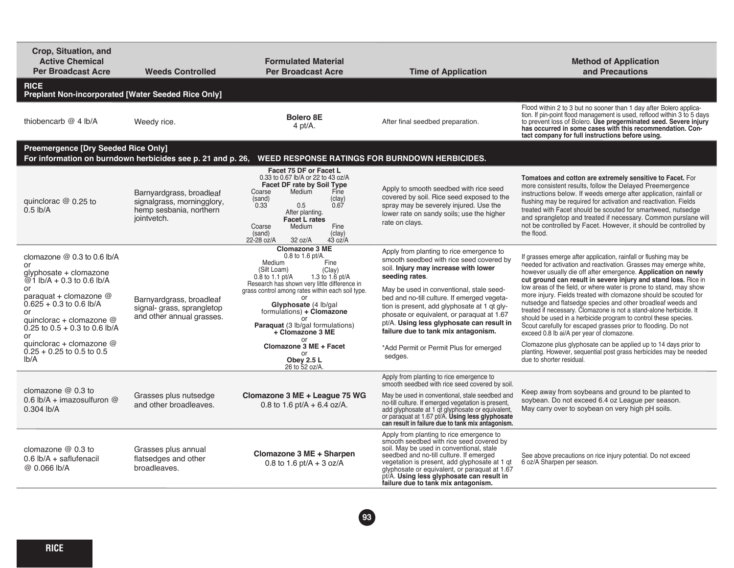| Crop, Situation, and<br><b>Active Chemical</b><br><b>Per Broadcast Acre</b>                                                                                                                                                                            | <b>Weeds Controlled</b>                                                                          | <b>Formulated Material</b><br><b>Per Broadcast Acre</b>                                                                                                                                                                                                                                                                                                                            | <b>Time of Application</b>                                                                                                                                                                                                                                                                                                                                                                                                                                            | <b>Method of Application</b><br>and Precautions                                                                                                                                                                                                                                                                                                                                                                                                                                                                                                                                                                                                                                                                                                                                                              |
|--------------------------------------------------------------------------------------------------------------------------------------------------------------------------------------------------------------------------------------------------------|--------------------------------------------------------------------------------------------------|------------------------------------------------------------------------------------------------------------------------------------------------------------------------------------------------------------------------------------------------------------------------------------------------------------------------------------------------------------------------------------|-----------------------------------------------------------------------------------------------------------------------------------------------------------------------------------------------------------------------------------------------------------------------------------------------------------------------------------------------------------------------------------------------------------------------------------------------------------------------|--------------------------------------------------------------------------------------------------------------------------------------------------------------------------------------------------------------------------------------------------------------------------------------------------------------------------------------------------------------------------------------------------------------------------------------------------------------------------------------------------------------------------------------------------------------------------------------------------------------------------------------------------------------------------------------------------------------------------------------------------------------------------------------------------------------|
| <b>RICE</b><br>Preplant Non-incorporated [Water Seeded Rice Only]                                                                                                                                                                                      |                                                                                                  |                                                                                                                                                                                                                                                                                                                                                                                    |                                                                                                                                                                                                                                                                                                                                                                                                                                                                       |                                                                                                                                                                                                                                                                                                                                                                                                                                                                                                                                                                                                                                                                                                                                                                                                              |
| thiobencarb $@$ 4 lb/A                                                                                                                                                                                                                                 | Weedy rice.                                                                                      | Bolero <sub>8E</sub><br>$4$ pt/A.                                                                                                                                                                                                                                                                                                                                                  | After final seedbed preparation.                                                                                                                                                                                                                                                                                                                                                                                                                                      | Flood within 2 to 3 but no sooner than 1 day after Bolero applica-<br>tion. If pin-point flood management is used, reflood within 3 to 5 days<br>to prevent loss of Bolero. Use pregerminated seed. Severe injury<br>has occurred in some cases with this recommendation. Con-<br>tact company for full instructions before using.                                                                                                                                                                                                                                                                                                                                                                                                                                                                           |
| Preemergence [Dry Seeded Rice Only]                                                                                                                                                                                                                    |                                                                                                  | For information on burndown herbicides see p. 21 and p. 26, WEED RESPONSE RATINGS FOR BURNDOWN HERBICIDES.                                                                                                                                                                                                                                                                         |                                                                                                                                                                                                                                                                                                                                                                                                                                                                       |                                                                                                                                                                                                                                                                                                                                                                                                                                                                                                                                                                                                                                                                                                                                                                                                              |
| quinclorac $@0.25$ to<br>$0.5$ lb/A                                                                                                                                                                                                                    | Barnyardgrass, broadleaf<br>signalgrass, morningglory,<br>hemp sesbania, northern<br>jointvetch. | Facet 75 DF or Facet L<br>0.33 to 0.67 lb/A or 22 to 43 oz/A<br>Facet DF rate by Soil Type<br>Medium<br>Coarse<br>Fine<br>(clay)<br>(sand)<br>0.67<br>0.33<br>0.5<br>After planting.<br><b>Facet L rates</b><br>Medium<br>Fine<br>Coarse<br>(clay)<br>(sand)<br>22-28 oz/A<br>32 oz/A<br>43 oz/A                                                                                   | Apply to smooth seedbed with rice seed<br>covered by soil. Rice seed exposed to the<br>spray may be severely injured. Use the<br>lower rate on sandy soils; use the higher<br>rate on clays.                                                                                                                                                                                                                                                                          | Tomatoes and cotton are extremely sensitive to Facet. For<br>more consistent results, follow the Delayed Preemergence<br>instructions below. If weeds emerge after application, rainfall or<br>flushing may be required for activation and reactivation. Fields<br>treated with Facet should be scouted for smartweed, nutsedge<br>and sprangletop and treated if necessary. Common purslane will<br>not be controlled by Facet. However, it should be controlled by<br>the flood.                                                                                                                                                                                                                                                                                                                           |
| clomazone $@$ 0.3 to 0.6 lb/A<br>glyphosate + clomazone<br>@1 lb/A + 0.3 to 0.6 lb/A<br>paraquat + clomazone $@$<br>$0.625 + 0.3$ to 0.6 lb/A<br>or<br>quinclorac + clomazone @<br>0.25 to $0.5 + 0.3$ to 0.6 lb/A<br>or<br>quinclorac + clomazone $@$ | Barnyardgrass, broadleaf<br>signal- grass, sprangletop<br>and other annual grasses.              | <b>Clomazone 3 ME</b><br>0.8 to 1.6 pt/A.<br>Fine<br>Medium<br>(Silt Loam)<br>(Clay)<br>0.8 to 1.1 pt/A<br>1.3 to 1.6 pt/A<br>Research has shown very little difference in<br>grass control among rates within each soil type.<br>Glyphosate (4 lb/gal)<br>formulations) + Clomazone<br>or<br>Paraquat (3 lb/gal formulations)<br>+ Clomazone 3 ME<br>Ωľ<br>Clomazone 3 ME + Facet | Apply from planting to rice emergence to<br>smooth seedbed with rice seed covered by<br>soil. Injury may increase with lower<br>seeding rates.<br>May be used in conventional, stale seed-<br>bed and no-till culture. If emerged vegeta-<br>tion is present, add glyphosate at 1 gt gly-<br>phosate or equivalent, or paraquat at 1.67<br>pt/A. Using less glyphosate can result in<br>failure due to tank mix antagonism.<br>*Add Permit or Permit Plus for emerged | If grasses emerge after application, rainfall or flushing may be<br>needed for activation and reactivation. Grasses may emerge white,<br>however usually die off after emergence. Application on newly<br>cut ground can result in severe injury and stand loss. Rice in<br>low areas of the field, or where water is prone to stand, may show<br>more injury. Fields treated with clomazone should be scouted for<br>nutsedge and flatsedge species and other broadleaf weeds and<br>treated if necessary. Clomazone is not a stand-alone herbicide. It<br>should be used in a herbicide program to control these species.<br>Scout carefully for escaped grasses prior to flooding. Do not<br>exceed 0.8 lb ai/A per year of clomazone.<br>Clomazone plus glyphosate can be applied up to 14 days prior to |
| $0.25 + 0.25$ to 0.5 to 0.5<br>Ib/A                                                                                                                                                                                                                    |                                                                                                  | or<br>Obey 2.5 L<br>26 to 52 oz/A.                                                                                                                                                                                                                                                                                                                                                 | sedges.                                                                                                                                                                                                                                                                                                                                                                                                                                                               | planting. However, sequential post grass herbicides may be needed<br>due to shorter residual.                                                                                                                                                                                                                                                                                                                                                                                                                                                                                                                                                                                                                                                                                                                |
| clomazone $@$ 0.3 to<br>0.6 lb/A + imazosulfuron $@$<br>$0.304$ lb/A                                                                                                                                                                                   | Grasses plus nutsedge<br>and other broadleaves.                                                  | Clomazone 3 ME + League 75 WG<br>0.8 to 1.6 pt/A + 6.4 oz/A.                                                                                                                                                                                                                                                                                                                       | Apply from planting to rice emergence to<br>smooth seedbed with rice seed covered by soil.<br>May be used in conventional, stale seedbed and<br>no-till culture. If emerged vegetation is present,<br>add glyphosate at 1 qt glyphosate or equivalent,<br>or paraquat at 1.67 pt/A. Using less glyphosate<br>can result in failure due to tank mix antagonism.                                                                                                        | Keep away from soybeans and ground to be planted to<br>soybean. Do not exceed 6.4 oz League per season.<br>May carry over to soybean on very high pH soils.                                                                                                                                                                                                                                                                                                                                                                                                                                                                                                                                                                                                                                                  |
| clomazone $@0.3$ to<br>$0.6$ lb/A + saflufenacil<br>@ 0.066 lb/A                                                                                                                                                                                       | Grasses plus annual<br>flatsedges and other<br>broadleaves.                                      | Clomazone 3 ME + Sharpen<br>0.8 to 1.6 pt/A + 3 oz/A                                                                                                                                                                                                                                                                                                                               | Apply from planting to rice emergence to<br>smooth seedbed with rice seed covered by<br>soil. May be used in conventional, stale<br>seedbed and no-till culture. If emerged<br>vegetation is present, add glyphosate at 1 qt<br>glyphosate or equivalent, or paraquat at 1.67<br>pt/A. Using less glyphosate can result in<br>failure due to tank mix antagonism.                                                                                                     | See above precautions on rice injury potential. Do not exceed<br>6 oz/A Sharpen per season.                                                                                                                                                                                                                                                                                                                                                                                                                                                                                                                                                                                                                                                                                                                  |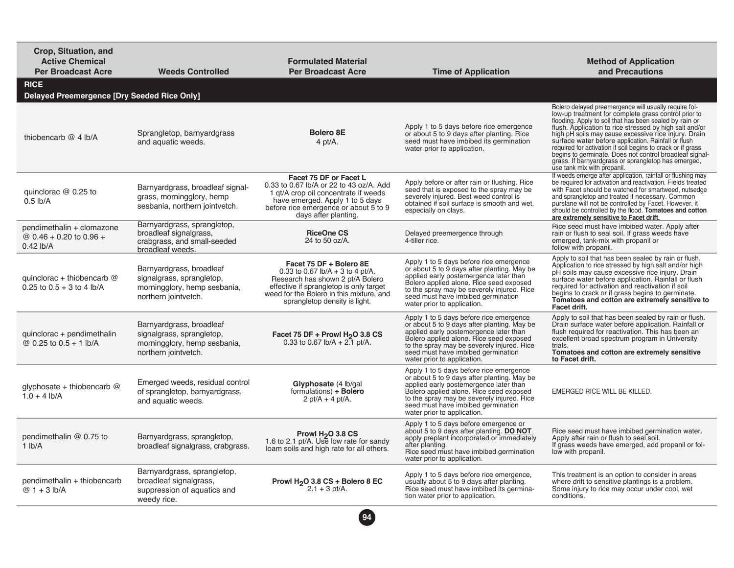| Crop, Situation, and<br><b>Active Chemical</b><br><b>Per Broadcast Acre</b> | <b>Weeds Controlled</b>                                                                                       | <b>Formulated Material</b><br><b>Per Broadcast Acre</b>                                                                                                                                                                   | <b>Time of Application</b>                                                                                                                                                                                                                                                                     | <b>Method of Application</b><br>and Precautions                                                                                                                                                                                                                                                                                                                                                                                                                                                                                                                    |
|-----------------------------------------------------------------------------|---------------------------------------------------------------------------------------------------------------|---------------------------------------------------------------------------------------------------------------------------------------------------------------------------------------------------------------------------|------------------------------------------------------------------------------------------------------------------------------------------------------------------------------------------------------------------------------------------------------------------------------------------------|--------------------------------------------------------------------------------------------------------------------------------------------------------------------------------------------------------------------------------------------------------------------------------------------------------------------------------------------------------------------------------------------------------------------------------------------------------------------------------------------------------------------------------------------------------------------|
| <b>RICE</b><br><b>Delayed Preemergence [Dry Seeded Rice Only]</b>           |                                                                                                               |                                                                                                                                                                                                                           |                                                                                                                                                                                                                                                                                                |                                                                                                                                                                                                                                                                                                                                                                                                                                                                                                                                                                    |
| thiobencarb $@$ 4 lb/A                                                      | Sprangletop, barnyardgrass<br>and aquatic weeds.                                                              | Bolero 8E<br>$4$ pt/A.                                                                                                                                                                                                    | Apply 1 to 5 days before rice emergence<br>or about 5 to 9 days after planting. Rice<br>seed must have imbibed its germination<br>water prior to application.                                                                                                                                  | Bolero delayed preemergence will usually require fol-<br>low-up treatment for complete grass control prior to<br>flooding. Apply to soil that has been sealed by rain or<br>flush. Application to rice stressed by high salt and/or<br>high pH soils may cause excessive rice injury. Drain<br>surface water before application. Rainfall or flush<br>required for activation if soil begins to crack or if grass<br>begins to germinate. Does not control broadleaf signal-<br>grass. If barnyardgrass or sprangletop has emerged,<br>use tank mix with propanil. |
| quinclorac $@$ 0.25 to<br>$0.5$ lb/A                                        | Barnyardgrass, broadleaf signal-<br>grass, morningglory, hemp<br>sesbania, northern jointvetch.               | Facet 75 DF or Facet L<br>0.33 to 0.67 lb/A or 22 to 43 oz/A. Add<br>1 gt/A crop oil concentrate if weeds<br>have emerged. Apply 1 to 5 days<br>before rice emergence or about 5 to 9<br>days after planting.             | Apply before or after rain or flushing. Rice<br>seed that is exposed to the spray may be<br>severely injured. Best weed control is<br>obtained if soil surface is smooth and wet.<br>especially on clays.                                                                                      | If weeds emerge after application, rainfall or flushing may<br>be required for activation and reactivation. Fields treated<br>with Facet should be watched for smartweed, nutsedge<br>and sprangletop and treated if necessary. Common<br>purslane will not be controlled by Facet. However, it<br>should be controlled by the flood. Tomatoes and cotton<br>are extremely sensitive to Facet drift.                                                                                                                                                               |
| pendimethalin + clomazone<br>@ $0.46 + 0.20$ to $0.96 +$<br>$0.42$ lb/A     | Barnyardgrass, sprangletop,<br>broadleaf signalgrass.<br>crabgrass, and small-seeded<br>broadleaf weeds.      | <b>RiceOne CS</b><br>24 to 50 oz/A.                                                                                                                                                                                       | Delayed preemergence through<br>4-tiller rice.                                                                                                                                                                                                                                                 | Rice seed must have imbibed water. Apply after<br>rain or flush to seal soil. If grass weeds have<br>emerged, tank-mix with propanil or<br>follow with propanil.                                                                                                                                                                                                                                                                                                                                                                                                   |
| quinclorac + thiobencarb @<br>$0.25$ to $0.5 + 3$ to 4 lb/A                 | Barnyardgrass, broadleaf<br>signalgrass, sprangletop,<br>morningglory, hemp sesbania,<br>northern jointvetch. | Facet 75 DF + Bolero 8E<br>0.33 to 0.67 $lb/A + 3$ to 4 pt/A.<br>Research has shown 2 pt/A Bolero<br>effective if sprangletop is only target<br>weed for the Bolero in this mixture, and<br>sprangletop density is light. | Apply 1 to 5 days before rice emergence<br>or about 5 to 9 days after planting. May be<br>applied early postemergence later than<br>Bolero applied alone. Rice seed exposed<br>to the spray may be severely injured. Rice<br>seed must have imbibed germination<br>water prior to application. | Apply to soil that has been sealed by rain or flush.<br>Application to rice stressed by high salt and/or high<br>pH soils may cause excessive rice injury. Drain<br>surface water before application. Rainfall or flush<br>required for activation and reactivation if soil<br>begins to crack or if grass begins to germinate.<br>Tomatoes and cotton are extremely sensitive to<br>Facet drift.                                                                                                                                                                  |
| quinclorac + pendimethalin<br>@ 0.25 to 0.5 + 1 lb/A                        | Barnyardgrass, broadleaf<br>signalgrass, sprangletop,<br>morningglory, hemp sesbania,<br>northern jointvetch. | Facet 75 DF + Prowl $H2O$ 3.8 CS<br>0.33 to 0.67 lb/A + $2\overline{1}$ pt/A.                                                                                                                                             | Apply 1 to 5 days before rice emergence<br>or about 5 to 9 days after planting. May be<br>applied early postemergence later than<br>Bolero applied alone. Rice seed exposed<br>to the spray may be severely injured. Rice<br>seed must have imbibed germination<br>water prior to application. | Apply to soil that has been sealed by rain or flush.<br>Drain surface water before application. Rainfall or<br>flush required for reactivation. This has been an<br>excellent broad spectrum program in University<br>trials.<br>Tomatoes and cotton are extremely sensitive<br>to Facet drift.                                                                                                                                                                                                                                                                    |
| glyphosate + thiobencarb @<br>$1.0 + 4$ lb/A                                | Emerged weeds, residual control<br>of sprangletop, barnyardgrass,<br>and aquatic weeds.                       | Glyphosate (4 lb/gal)<br>formulations) + Bolero<br>2 pt/A + 4 pt/A.                                                                                                                                                       | Apply 1 to 5 days before rice emergence<br>or about 5 to 9 days after planting. May be<br>applied early postemergence later than<br>Bolero applied alone. Rice seed exposed<br>to the spray may be severely injured. Rice<br>seed must have imbibed germination<br>water prior to application. | EMERGED RICE WILL BE KILLED.                                                                                                                                                                                                                                                                                                                                                                                                                                                                                                                                       |
| pendimethalin @ 0.75 to<br>$1$ lb/A                                         | Barnyardgrass, sprangletop,<br>broadleaf signalgrass, crabgrass.                                              | Prowl H <sub>2</sub> O 3.8 CS<br>1.6 to 2.1 pt/A. Use low rate for sandy<br>loam soils and high rate for all others.                                                                                                      | Apply 1 to 5 days before emergence or<br>about 5 to 9 days after planting. DO NOT<br>apply preplant incorporated or immediately<br>after planting.<br>Rice seed must have imbibed germination<br>water prior to application.                                                                   | Rice seed must have imbibed germination water.<br>Apply after rain or flush to seal soil.<br>If grass weeds have emerged, add propanil or fol-<br>low with propanil.                                                                                                                                                                                                                                                                                                                                                                                               |
| pendimethalin + thiobencarb<br>$@1 + 3 lb/A$                                | Barnyardgrass, sprangletop,<br>broadleaf signalgrass,<br>suppression of aquatics and<br>weedy rice.           | Prowl H <sub>2</sub> O 3.8 CS + Bolero 8 EC<br>$2.1 + 3$ pt/A.                                                                                                                                                            | Apply 1 to 5 days before rice emergence,<br>usually about 5 to 9 days after planting.<br>Rice seed must have imbibed its germina-<br>tion water prior to application.                                                                                                                          | This treatment is an option to consider in areas<br>where drift to sensitive plantings is a problem.<br>Some injury to rice may occur under cool, wet<br>conditions.                                                                                                                                                                                                                                                                                                                                                                                               |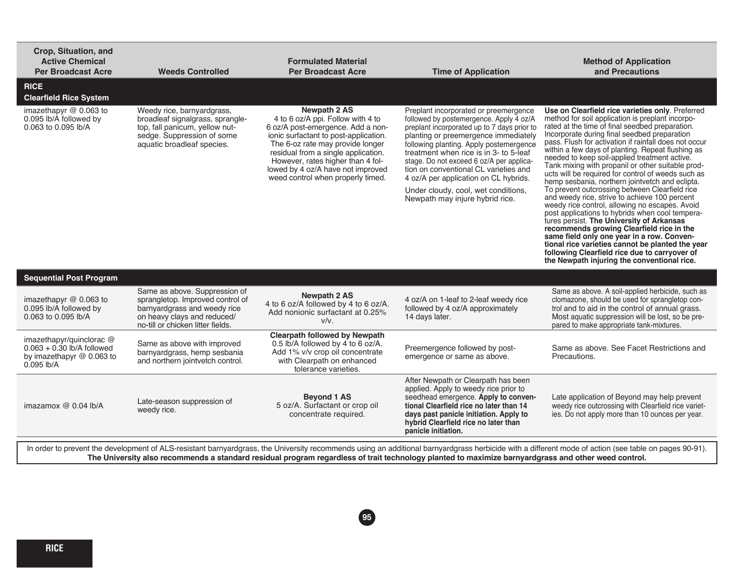| Crop, Situation, and<br><b>Active Chemical</b><br><b>Per Broadcast Acre</b>                         | <b>Weeds Controlled</b>                                                                                                                                               | <b>Formulated Material</b><br><b>Per Broadcast Acre</b>                                                                                                                                                                                                                                                                          | <b>Time of Application</b>                                                                                                                                                                                                                                                                                                                                                                                                                                           | <b>Method of Application</b><br>and Precautions                                                                                                                                                                                                                                                                                                                                                                                                                                                                                                                                                                                                                                                                                                                                                                                                                                                                                                                                                                                          |  |
|-----------------------------------------------------------------------------------------------------|-----------------------------------------------------------------------------------------------------------------------------------------------------------------------|----------------------------------------------------------------------------------------------------------------------------------------------------------------------------------------------------------------------------------------------------------------------------------------------------------------------------------|----------------------------------------------------------------------------------------------------------------------------------------------------------------------------------------------------------------------------------------------------------------------------------------------------------------------------------------------------------------------------------------------------------------------------------------------------------------------|------------------------------------------------------------------------------------------------------------------------------------------------------------------------------------------------------------------------------------------------------------------------------------------------------------------------------------------------------------------------------------------------------------------------------------------------------------------------------------------------------------------------------------------------------------------------------------------------------------------------------------------------------------------------------------------------------------------------------------------------------------------------------------------------------------------------------------------------------------------------------------------------------------------------------------------------------------------------------------------------------------------------------------------|--|
| <b>RICE</b><br><b>Clearfield Rice System</b>                                                        |                                                                                                                                                                       |                                                                                                                                                                                                                                                                                                                                  |                                                                                                                                                                                                                                                                                                                                                                                                                                                                      |                                                                                                                                                                                                                                                                                                                                                                                                                                                                                                                                                                                                                                                                                                                                                                                                                                                                                                                                                                                                                                          |  |
| imazethapyr $@$ 0.063 to<br>0.095 lb/A followed by<br>0.063 to 0.095 lb/A                           | Weedy rice, barnyardgrass,<br>broadleaf signalgrass, sprangle-<br>top, fall panicum, yellow nut-<br>sedge. Suppression of some<br>aquatic broadleaf species.          | <b>Newpath 2 AS</b><br>4 to 6 oz/A ppi. Follow with 4 to<br>6 oz/A post-emergence. Add a non-<br>ionic surfactant to post-application.<br>The 6-oz rate may provide longer<br>residual from a single application.<br>However, rates higher than 4 fol-<br>lowed by 4 oz/A have not improved<br>weed control when properly timed. | Preplant incorporated or preemergence<br>followed by postemergence. Apply 4 oz/A<br>preplant incorporated up to 7 days prior to<br>planting or preemergence immediately<br>following planting. Apply postemergence<br>treatment when rice is in 3- to 5-leaf<br>stage. Do not exceed 6 oz/A per applica-<br>tion on conventional CL varieties and<br>4 oz/A per application on CL hybrids.<br>Under cloudy, cool, wet conditions,<br>Newpath may injure hybrid rice. | Use on Clearfield rice varieties only. Preferred<br>method for soil application is preplant incorpo-<br>rated at the time of final seedbed preparation.<br>Incorporate during final seedbed preparation<br>pass. Flush for activation if rainfall does not occur<br>within a few days of planting. Repeat flushing as<br>needed to keep soil-applied treatment active.<br>Tank mixing with propanil or other suitable prod-<br>ucts will be required for control of weeds such as<br>hemp sesbania, northern jointvetch and eclipta.<br>To prevent outcrossing between Clearfield rice<br>and weedy rice, strive to achieve 100 percent<br>weedy rice control, allowing no escapes. Avoid<br>post applications to hybrids when cool tempera-<br>tures persist. The University of Arkansas<br>recommends growing Clearfield rice in the<br>same field only one year in a row. Conven-<br>tional rice varieties cannot be planted the year<br>following Clearfield rice due to carryover of<br>the Newpath injuring the conventional rice. |  |
| <b>Sequential Post Program</b>                                                                      |                                                                                                                                                                       |                                                                                                                                                                                                                                                                                                                                  |                                                                                                                                                                                                                                                                                                                                                                                                                                                                      |                                                                                                                                                                                                                                                                                                                                                                                                                                                                                                                                                                                                                                                                                                                                                                                                                                                                                                                                                                                                                                          |  |
| imazethapyr $@$ 0.063 to<br>0.095 lb/A followed by<br>0.063 to 0.095 lb/A                           | Same as above. Suppression of<br>sprangletop. Improved control of<br>barnyardgrass and weedy rice<br>on heavy clays and reduced/<br>no-till or chicken litter fields. | <b>Newpath 2 AS</b><br>4 to 6 oz/A followed by 4 to 6 oz/A.<br>Add nonionic surfactant at 0.25%<br>V/V.                                                                                                                                                                                                                          | 4 oz/A on 1-leaf to 2-leaf weedy rice<br>followed by 4 oz/A approximately<br>14 days later.                                                                                                                                                                                                                                                                                                                                                                          | Same as above. A soil-applied herbicide, such as<br>clomazone, should be used for sprangletop con-<br>trol and to aid in the control of annual grass.<br>Most aquatic suppression will be lost, so be pre-<br>pared to make appropriate tank-mixtures.                                                                                                                                                                                                                                                                                                                                                                                                                                                                                                                                                                                                                                                                                                                                                                                   |  |
| imazethapyr/quinclorac @<br>$0.063 + 0.30$ lb/A followed<br>by imazethapyr @ 0.063 to<br>0.095 lb/A | Same as above with improved<br>barnyardgrass, hemp sesbania<br>and northern jointvetch control.                                                                       | <b>Clearpath followed by Newpath</b><br>0.5 lb/A followed by 4 to 6 oz/A.<br>Add 1% v/v crop oil concentrate<br>with Clearpath on enhanced<br>tolerance varieties.                                                                                                                                                               | Preemergence followed by post-<br>emergence or same as above.                                                                                                                                                                                                                                                                                                                                                                                                        | Same as above. See Facet Restrictions and<br>Precautions.                                                                                                                                                                                                                                                                                                                                                                                                                                                                                                                                                                                                                                                                                                                                                                                                                                                                                                                                                                                |  |
| imazamox $@$ 0.04 lb/A                                                                              | Late-season suppression of<br>weedy rice.                                                                                                                             | <b>Beyond 1 AS</b><br>5 oz/A. Surfactant or crop oil<br>concentrate required.                                                                                                                                                                                                                                                    | After Newpath or Clearpath has been<br>applied. Apply to weedy rice prior to<br>seedhead emergence. Apply to conven-<br>tional Clearfield rice no later than 14<br>days past panicle initiation. Apply to<br>hybrid Clearfield rice no later than<br>panicle initiation.                                                                                                                                                                                             | Late application of Beyond may help prevent<br>weedy rice outcrossing with Clearfield rice variet-<br>ies. Do not apply more than 10 ounces per year.                                                                                                                                                                                                                                                                                                                                                                                                                                                                                                                                                                                                                                                                                                                                                                                                                                                                                    |  |
|                                                                                                     |                                                                                                                                                                       | In order to prevent the development of ALS-resistant harmyardgrass, the University recommends using an additional harmyardgrass herbicide with a different mode of action (see table on pages 90-91)                                                                                                                             |                                                                                                                                                                                                                                                                                                                                                                                                                                                                      |                                                                                                                                                                                                                                                                                                                                                                                                                                                                                                                                                                                                                                                                                                                                                                                                                                                                                                                                                                                                                                          |  |

In order to prevent the development of ALS-resistant barnyardgrass, the University recommends using an additional barnyardgrass herbicide with a different mode of action (see table on pages 90-91). **The University also recommends a standard residual program regardless of trait technology planted to maximize barnyardgrass and other weed control.**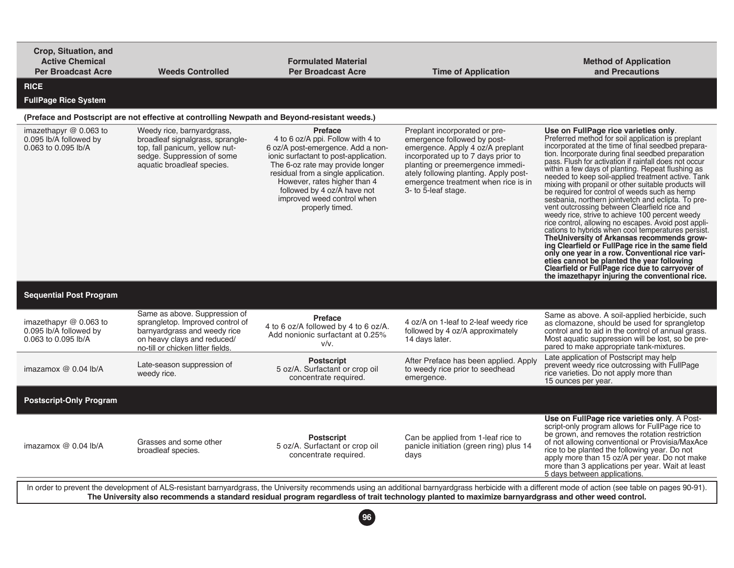| Crop, Situation, and<br><b>Active Chemical</b><br><b>Per Broadcast Acre</b> | <b>Weeds Controlled</b>                                                                                                                                               | <b>Formulated Material</b><br><b>Per Broadcast Acre</b>                                                                                                                                                                                                                                                                      | <b>Time of Application</b>                                                                                                                                                                                                                                                        | <b>Method of Application</b><br>and Precautions                                                                                                                                                                                                                                                                                                                                                                                                                                                                                                                                                                                                                                                                                                                                                                                                                                                                                                                                                                                                                      |
|-----------------------------------------------------------------------------|-----------------------------------------------------------------------------------------------------------------------------------------------------------------------|------------------------------------------------------------------------------------------------------------------------------------------------------------------------------------------------------------------------------------------------------------------------------------------------------------------------------|-----------------------------------------------------------------------------------------------------------------------------------------------------------------------------------------------------------------------------------------------------------------------------------|----------------------------------------------------------------------------------------------------------------------------------------------------------------------------------------------------------------------------------------------------------------------------------------------------------------------------------------------------------------------------------------------------------------------------------------------------------------------------------------------------------------------------------------------------------------------------------------------------------------------------------------------------------------------------------------------------------------------------------------------------------------------------------------------------------------------------------------------------------------------------------------------------------------------------------------------------------------------------------------------------------------------------------------------------------------------|
| <b>RICE</b><br><b>FullPage Rice System</b>                                  |                                                                                                                                                                       |                                                                                                                                                                                                                                                                                                                              |                                                                                                                                                                                                                                                                                   |                                                                                                                                                                                                                                                                                                                                                                                                                                                                                                                                                                                                                                                                                                                                                                                                                                                                                                                                                                                                                                                                      |
|                                                                             | (Preface and Postscript are not effective at controlling Newpath and Beyond-resistant weeds.)                                                                         |                                                                                                                                                                                                                                                                                                                              |                                                                                                                                                                                                                                                                                   |                                                                                                                                                                                                                                                                                                                                                                                                                                                                                                                                                                                                                                                                                                                                                                                                                                                                                                                                                                                                                                                                      |
| imazethapyr $@$ 0.063 to<br>0.095 lb/A followed by<br>0.063 to 0.095 lb/A   | Weedy rice, barnyardgrass,<br>broadleaf signalgrass, sprangle-<br>top, fall panicum, yellow nut-<br>sedge. Suppression of some<br>aquatic broadleaf species.          | <b>Preface</b><br>4 to 6 oz/A ppi. Follow with 4 to<br>6 oz/A post-emergence. Add a non-<br>ionic surfactant to post-application.<br>The 6-oz rate may provide longer<br>residual from a single application.<br>However, rates higher than 4<br>followed by 4 oz/A have not<br>improved weed control when<br>properly timed. | Preplant incorporated or pre-<br>emergence followed by post-<br>emergence. Apply 4 oz/A preplant<br>incorporated up to 7 days prior to<br>planting or preemergence immedi-<br>ately following planting. Apply post-<br>emergence treatment when rice is in<br>3- to 5-leaf stage. | Use on FullPage rice varieties only.<br>Preferred method for soil application is preplant<br>incorporated at the time of final seedbed prepara-<br>tion. Incorporate during final seedbed preparation<br>pass. Flush for activation if rainfall does not occur<br>within a few days of planting. Repeat flushing as<br>needed to keep soil-applied treatment active. Tank<br>mixing with propanil or other suitable products will<br>be required for control of weeds such as hemp<br>sesbania, northern jointvetch and eclipta. To pre-<br>vent outcrossing between Clearfield rice and<br>weedy rice, strive to achieve 100 percent weedy<br>rice control, allowing no escapes. Avoid post appli-<br>cations to hybrids when cool temperatures persist.<br>The University of Arkansas recommends grow-<br>ing Clearfield or FullPage rice in the same field<br>only one year in a row. Conventional rice vari-<br>eties cannot be planted the year following<br>Clearfield or FullPage rice due to carryover of<br>the imazethapyr injuring the conventional rice. |
| <b>Sequential Post Program</b>                                              |                                                                                                                                                                       |                                                                                                                                                                                                                                                                                                                              |                                                                                                                                                                                                                                                                                   |                                                                                                                                                                                                                                                                                                                                                                                                                                                                                                                                                                                                                                                                                                                                                                                                                                                                                                                                                                                                                                                                      |
| imazethapyr $@$ 0.063 to<br>0.095 lb/A followed by<br>0.063 to 0.095 lb/A   | Same as above. Suppression of<br>sprangletop. Improved control of<br>barnyardgrass and weedy rice<br>on heavy clays and reduced/<br>no-till or chicken litter fields. | <b>Preface</b><br>4 to 6 oz/A followed by 4 to 6 oz/A.<br>Add nonionic surfactant at 0.25%<br>$V/V$ .                                                                                                                                                                                                                        | 4 oz/A on 1-leaf to 2-leaf weedy rice<br>followed by 4 oz/A approximately<br>14 days later.                                                                                                                                                                                       | Same as above. A soil-applied herbicide, such<br>as clomazone, should be used for sprangletop<br>control and to aid in the control of annual grass.<br>Most aquatic suppression will be lost, so be pre-<br>pared to make appropriate tank-mixtures.                                                                                                                                                                                                                                                                                                                                                                                                                                                                                                                                                                                                                                                                                                                                                                                                                 |
| imazamox @ 0.04 lb/A                                                        | Late-season suppression of<br>weedy rice.                                                                                                                             | <b>Postscript</b><br>5 oz/A. Surfactant or crop oil<br>concentrate required.                                                                                                                                                                                                                                                 | After Preface has been applied. Apply<br>to weedy rice prior to seedhead<br>emergence.                                                                                                                                                                                            | Late application of Postscript may help<br>prevent weedy rice outcrossing with FullPage<br>rice varieties. Do not apply more than<br>15 ounces per year.                                                                                                                                                                                                                                                                                                                                                                                                                                                                                                                                                                                                                                                                                                                                                                                                                                                                                                             |
| <b>Postscript-Only Program</b>                                              |                                                                                                                                                                       |                                                                                                                                                                                                                                                                                                                              |                                                                                                                                                                                                                                                                                   |                                                                                                                                                                                                                                                                                                                                                                                                                                                                                                                                                                                                                                                                                                                                                                                                                                                                                                                                                                                                                                                                      |
| imazamox $@$ 0.04 lb/A                                                      | Grasses and some other<br>broadleaf species.                                                                                                                          | <b>Postscript</b><br>5 oz/A. Surfactant or crop oil<br>concentrate required.                                                                                                                                                                                                                                                 | Can be applied from 1-leaf rice to<br>panicle initiation (green ring) plus 14<br>days                                                                                                                                                                                             | Use on FullPage rice varieties only. A Post-<br>script-only program allows for FullPage rice to<br>be grown, and removes the rotation restriction<br>of not allowing conventional or Provisia/MaxAce<br>rice to be planted the following year. Do not<br>apply more than 15 oz/A per year. Do not make<br>more than 3 applications per year. Wait at least<br>5 days between applications.                                                                                                                                                                                                                                                                                                                                                                                                                                                                                                                                                                                                                                                                           |
|                                                                             |                                                                                                                                                                       |                                                                                                                                                                                                                                                                                                                              | The University also recommends a standard residual program regardless of trait technology planted to maximize barnyardgrass and other weed control.                                                                                                                               | In order to prevent the development of ALS-resistant barnyardgrass, the University recommends using an additional barnyardgrass herbicide with a different mode of action (see table on pages 90-91).                                                                                                                                                                                                                                                                                                                                                                                                                                                                                                                                                                                                                                                                                                                                                                                                                                                                |
|                                                                             |                                                                                                                                                                       | 96                                                                                                                                                                                                                                                                                                                           |                                                                                                                                                                                                                                                                                   |                                                                                                                                                                                                                                                                                                                                                                                                                                                                                                                                                                                                                                                                                                                                                                                                                                                                                                                                                                                                                                                                      |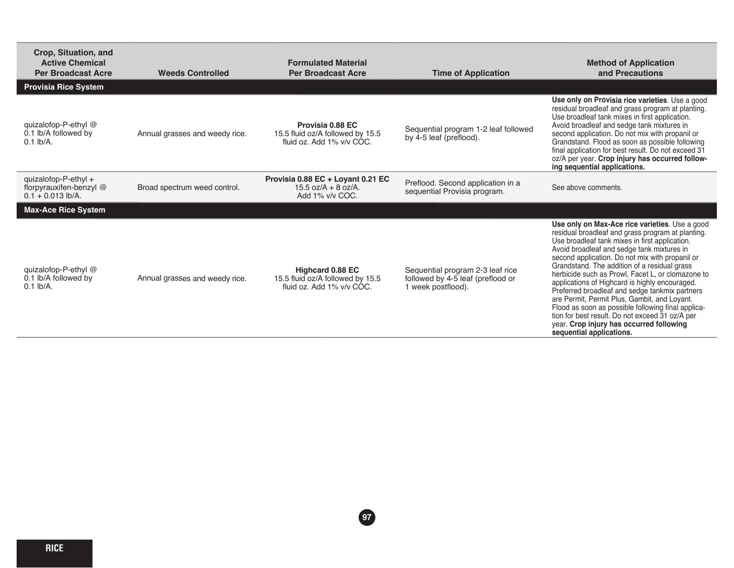| Crop. Situation, and<br><b>Active Chemical</b><br><b>Per Broadcast Acre</b> | <b>Weeds Controlled</b>        | <b>Formulated Material</b><br><b>Per Broadcast Acre</b>                                  | <b>Time of Application</b>                                                                  | <b>Method of Application</b><br>and Precautions                                                                                                                                                                                                                                                                                                                                                                                                                                                                                                                                                                                                                                                  |
|-----------------------------------------------------------------------------|--------------------------------|------------------------------------------------------------------------------------------|---------------------------------------------------------------------------------------------|--------------------------------------------------------------------------------------------------------------------------------------------------------------------------------------------------------------------------------------------------------------------------------------------------------------------------------------------------------------------------------------------------------------------------------------------------------------------------------------------------------------------------------------------------------------------------------------------------------------------------------------------------------------------------------------------------|
| <b>Provisia Rice System</b>                                                 |                                |                                                                                          |                                                                                             |                                                                                                                                                                                                                                                                                                                                                                                                                                                                                                                                                                                                                                                                                                  |
| quizalofop-P-ethyl @<br>0.1 lb/A followed by<br>$0.1$ lb/A.                 | Annual grasses and weedy rice. | Provisia 0.88 EC<br>15.5 fluid oz/A followed by 15.5<br>fluid oz. Add 1% v/v COC.        | Sequential program 1-2 leaf followed<br>by 4-5 leaf (preflood).                             | Use only on Provisia rice varieties. Use a good<br>residual broadleaf and grass program at planting.<br>Use broadleaf tank mixes in first application.<br>Avoid broadleaf and sedge tank mixtures in<br>second application. Do not mix with propanil or<br>Grandstand. Flood as soon as possible following<br>final application for best result. Do not exceed 31<br>oz/A per year. Crop injury has occurred follow-<br>ing sequential applications.                                                                                                                                                                                                                                             |
| quizalofop-P-ethyl $+$<br>florpyrauxifen-benzyl @<br>$0.1 + 0.013$ lb/A.    | Broad spectrum weed control.   | Provisia 0.88 EC + Loyant 0.21 EC<br>15.5 $oz/A + 8$ $oz/A$ .<br>Add 1% v/v COC.         | Preflood. Second application in a<br>sequential Provisia program.                           | See above comments.                                                                                                                                                                                                                                                                                                                                                                                                                                                                                                                                                                                                                                                                              |
| <b>Max-Ace Rice System</b>                                                  |                                |                                                                                          |                                                                                             |                                                                                                                                                                                                                                                                                                                                                                                                                                                                                                                                                                                                                                                                                                  |
| quizalofop-P-ethyl @<br>0.1 lb/A followed by<br>$0.1$ lb/A.                 | Annual grasses and weedy rice. | <b>Highcard 0.88 EC</b><br>15.5 fluid oz/A followed by 15.5<br>fluid oz. Add 1% v/v COC. | Sequential program 2-3 leaf rice<br>followed by 4-5 leaf (preflood or<br>1 week postflood). | Use only on Max-Ace rice varieties. Use a good<br>residual broadleaf and grass program at planting.<br>Use broadleaf tank mixes in first application.<br>Avoid broadleaf and sedge tank mixtures in<br>second application. Do not mix with propanil or<br>Grandstand. The addition of a residual grass<br>herbicide such as Prowl, Facet L, or clomazone to<br>applications of Highcard is highly encouraged.<br>Preferred broadleaf and sedge tankmix partners<br>are Permit, Permit Plus, Gambit, and Loyant.<br>Flood as soon as possible following final applica-<br>tion for best result. Do not exceed 31 oz/A per<br>year. Crop injury has occurred following<br>sequential applications. |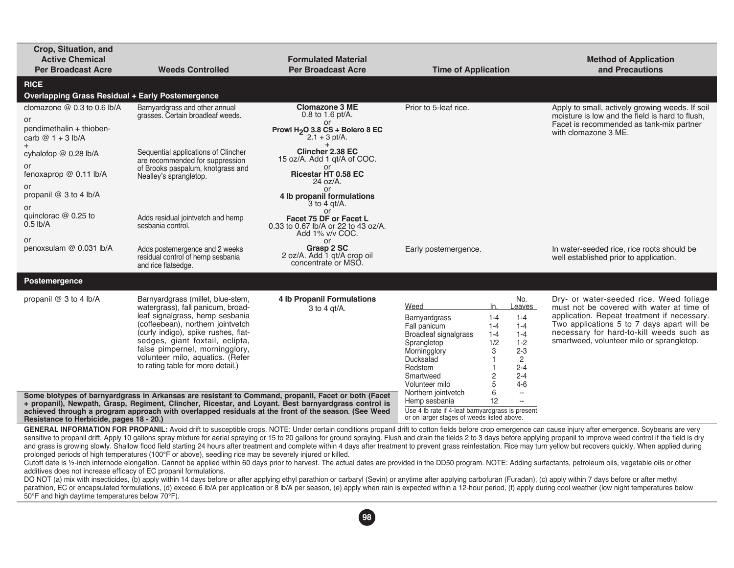| Crop, Situation, and<br><b>Active Chemical</b><br><b>Per Broadcast Acre</b>                                                                                                                                                        | <b>Weeds Controlled</b>                                                                                                                                                                                                                                                                                                                                                                                                                                                                                                                                                                                                                                   | <b>Formulated Material</b><br><b>Per Broadcast Acre</b>                                                                                                                                                                                                                                                                                                       | <b>Time of Application</b>                                                                                                                                                                                                                                                                                                                                                                                                                                                                                                                   | <b>Method of Application</b><br>and Precautions                                                                                                                                                                                                                            |
|------------------------------------------------------------------------------------------------------------------------------------------------------------------------------------------------------------------------------------|-----------------------------------------------------------------------------------------------------------------------------------------------------------------------------------------------------------------------------------------------------------------------------------------------------------------------------------------------------------------------------------------------------------------------------------------------------------------------------------------------------------------------------------------------------------------------------------------------------------------------------------------------------------|---------------------------------------------------------------------------------------------------------------------------------------------------------------------------------------------------------------------------------------------------------------------------------------------------------------------------------------------------------------|----------------------------------------------------------------------------------------------------------------------------------------------------------------------------------------------------------------------------------------------------------------------------------------------------------------------------------------------------------------------------------------------------------------------------------------------------------------------------------------------------------------------------------------------|----------------------------------------------------------------------------------------------------------------------------------------------------------------------------------------------------------------------------------------------------------------------------|
| <b>RICE</b><br><b>Overlapping Grass Residual + Early Postemergence</b>                                                                                                                                                             |                                                                                                                                                                                                                                                                                                                                                                                                                                                                                                                                                                                                                                                           |                                                                                                                                                                                                                                                                                                                                                               |                                                                                                                                                                                                                                                                                                                                                                                                                                                                                                                                              |                                                                                                                                                                                                                                                                            |
| clomazone $@0.3$ to 0.6 lb/A<br>or<br>pendimethalin + thioben-<br>carb $@1 + 3$ lb/A<br>cyhalofop $@$ 0.28 lb/A<br>or<br>fenoxaprop @ 0.11 lb/A<br>or<br>propanil @ 3 to 4 lb/A<br>or<br>quinclorac $@0.25$ to<br>$0.5$ lb/A<br>or | Barnyardgrass and other annual<br>grasses. Certain broadleaf weeds.<br>Sequential applications of Clincher<br>are recommended for suppression<br>of Brooks paspalum, knotgrass and<br>Nealley's sprangletop.<br>Adds residual jointvetch and hemp<br>sesbania control.                                                                                                                                                                                                                                                                                                                                                                                    | <b>Clomazone 3 ME</b><br>$0.8$ to 1.6 pt/A.<br>or<br>Prowl $H2O$ 3.8 CS + Bolero 8 EC<br>$2.1 + 3$ pt/A.<br><b>Clincher 2.38 EC</b><br>15 oz/A. Add 1 gt/A of COC.<br>or<br>Ricestar HT 0.58 EC<br>$24$ oz/A.<br>or<br>4 lb propanil formulations<br>$3$ to 4 gt/A.<br>or<br>Facet 75 DF or Facet L<br>0.33 to 0.67 lb/A or 22 to 43 oz/A.<br>Add 1% v/v COC. | Prior to 5-leaf rice.                                                                                                                                                                                                                                                                                                                                                                                                                                                                                                                        | Apply to small, actively growing weeds. If soil<br>moisture is low and the field is hard to flush.<br>Facet is recommended as tank-mix partner<br>with clomazone 3 ME.                                                                                                     |
| penoxsulam @ 0.031 lb/A                                                                                                                                                                                                            | Adds postemergence and 2 weeks<br>residual control of hemp sesbania<br>and rice flatsedge.                                                                                                                                                                                                                                                                                                                                                                                                                                                                                                                                                                | or<br>Grasp 2 SC<br>2 oz/A. Add 1 gt/A crop oil<br>concentrate or MSO.                                                                                                                                                                                                                                                                                        | Early postemergence.                                                                                                                                                                                                                                                                                                                                                                                                                                                                                                                         | In water-seeded rice, rice roots should be<br>well established prior to application.                                                                                                                                                                                       |
| Postemergence                                                                                                                                                                                                                      |                                                                                                                                                                                                                                                                                                                                                                                                                                                                                                                                                                                                                                                           |                                                                                                                                                                                                                                                                                                                                                               |                                                                                                                                                                                                                                                                                                                                                                                                                                                                                                                                              |                                                                                                                                                                                                                                                                            |
| propanil @ 3 to 4 lb/A                                                                                                                                                                                                             | Barnyardgrass (millet, blue-stem,<br>watergrass), fall panicum, broad-<br>leaf signalgrass, hemp sesbania<br>(coffeebean), northern jointvetch<br>(curly indigo), spike rushes, flat-<br>sedges, giant foxtail, eclipta,<br>false pimpernel, morningglory,<br>volunteer milo, aquatics. (Refer<br>to rating table for more detail.)<br>Some biotypes of barnyardgrass in Arkansas are resistant to Command, propanil, Facet or both (Facet<br>+ propanil), Newpath, Grasp, Regiment, Clincher, Ricestar, and Loyant. Best barnyardgrass control is<br>achieved through a program approach with overlapped residuals at the front of the season. (See Weed | 4 lb Propanil Formulations<br>$3$ to 4 qt/A.                                                                                                                                                                                                                                                                                                                  | No.<br>Weed<br>In<br>Leaves<br>$1 - 4$<br>$1 - 4$<br>Barnyardgrass<br>$1 - 4$<br>$1 - 4$<br>Fall panicum<br>$1 - 4$<br>$1 - 4$<br><b>Broadleaf signalgrass</b><br>1/2<br>$1 - 2$<br>Sprangletop<br>$2 - 3$<br>3<br>Morningglory<br>$\overline{2}$<br>Ducksalad<br>$2 - 4$<br>Redstem<br>$\overline{2}$<br>$2 - 4$<br>Smartweed<br>$4 - 6$<br>Volunteer milo<br>6<br>Northern jointvetch<br>$\overline{\phantom{a}}$<br>12<br>Hemp sesbania<br>Use 4 lb rate if 4-leaf barnyardgrass is present<br>or on larger stages of weeds listed above. | Dry- or water-seeded rice. Weed foliage<br>must not be covered with water at time of<br>application. Repeat treatment if necessary.<br>Two applications 5 to 7 days apart will be<br>necessary for hard-to-kill weeds such as<br>smartweed, volunteer milo or sprangletop. |
| Resistance to Herbicide, pages 18 - 20.)                                                                                                                                                                                           |                                                                                                                                                                                                                                                                                                                                                                                                                                                                                                                                                                                                                                                           |                                                                                                                                                                                                                                                                                                                                                               |                                                                                                                                                                                                                                                                                                                                                                                                                                                                                                                                              |                                                                                                                                                                                                                                                                            |

GENERAL INFORMATION FOR PROPANIL: Avoid drift to susceptible crops. NOTE: Under certain conditions propanil drift to cotton fields before crop emergence can cause injury after emergence. Soybeans are very sensitive to propanil drift. Apply 10 gallons spray mixture for aerial spraying or 15 to 20 gallons for ground spraying. Flush and drain the fields 2 to 3 days before applying propanil to improve weed control if the field and grass is growing slowly. Shallow flood field starting 24 hours after treatment and complete within 4 days after treatment to prevent grass reinfestation. Rice may turn yellow but recovers quickly. When applied during prolonged periods of high temperatures (100°F or above), seedling rice may be severely injured or killed.

Cutoff date is ½-inch internode elongation. Cannot be applied within 60 days prior to harvest. The actual dates are provided in the DD50 program. NOTE: Adding surfactants, petroleum oils, vegetable oils or other additives does not increase efficacy of EC propanil formulations.

DO NOT (a) mix with insecticides, (b) apply within 14 days before or after applying ethyl parathion or carbaryl (Sevin) or anytime after applying carbofuran (Furadan), (c) apply within 7 days before or after methyl parathion, EC or encapsulated formulations, (d) exceed 6 lb/A per application or 8 lb/A per season, (e) apply when rain is expected within a 12-hour period, (f) apply during cool weather (low night temperatures below 50°F and high daytime temperatures below 70°F).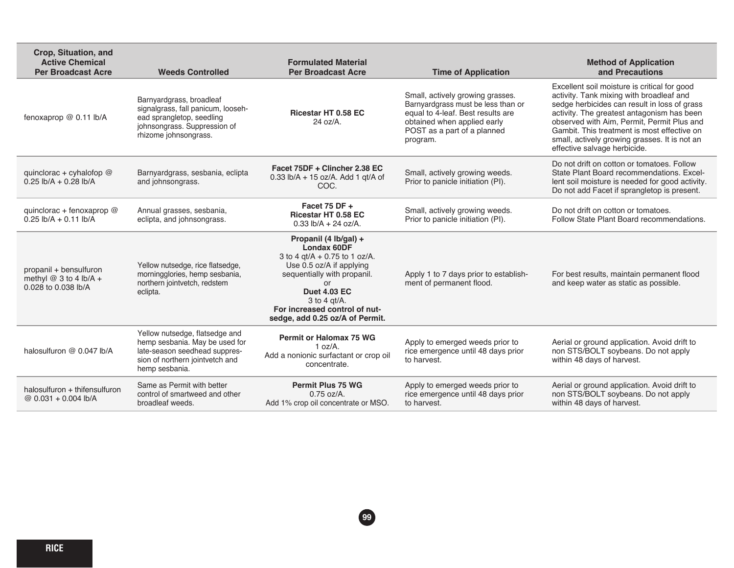| Crop. Situation, and<br><b>Active Chemical</b><br><b>Per Broadcast Acre</b> | <b>Weeds Controlled</b>                                                                                                                                | <b>Formulated Material</b><br><b>Per Broadcast Acre</b>                                                                                                                                                                                               | <b>Time of Application</b>                                                                                                                                                            | <b>Method of Application</b><br>and Precautions                                                                                                                                                                                                                                                                                                                      |
|-----------------------------------------------------------------------------|--------------------------------------------------------------------------------------------------------------------------------------------------------|-------------------------------------------------------------------------------------------------------------------------------------------------------------------------------------------------------------------------------------------------------|---------------------------------------------------------------------------------------------------------------------------------------------------------------------------------------|----------------------------------------------------------------------------------------------------------------------------------------------------------------------------------------------------------------------------------------------------------------------------------------------------------------------------------------------------------------------|
| fenoxaprop @ 0.11 lb/A                                                      | Barnyardgrass, broadleaf<br>signalgrass, fall panicum, looseh-<br>ead sprangletop, seedling<br>johnsongrass. Suppression of<br>rhizome johnsongrass.   | <b>Ricestar HT 0.58 EC</b><br>24 oz/A.                                                                                                                                                                                                                | Small, actively growing grasses.<br>Barnyardgrass must be less than or<br>equal to 4-leaf. Best results are<br>obtained when applied early<br>POST as a part of a planned<br>program. | Excellent soil moisture is critical for good<br>activity. Tank mixing with broadleaf and<br>sedge herbicides can result in loss of grass<br>activity. The greatest antagonism has been<br>observed with Aim, Permit, Permit Plus and<br>Gambit. This treatment is most effective on<br>small, actively growing grasses. It is not an<br>effective salvage herbicide. |
| quinclorac + cyhalofop @<br>$0.25$ lb/A + 0.28 lb/A                         | Barnyardgrass, sesbania, eclipta<br>and johnsongrass.                                                                                                  | Facet 75DF + Clincher 2.38 EC<br>0.33 lb/A + 15 oz/A. Add 1 qt/A of<br>COC.                                                                                                                                                                           | Small, actively growing weeds.<br>Prior to panicle initiation (PI).                                                                                                                   | Do not drift on cotton or tomatoes. Follow<br>State Plant Board recommendations. Excel-<br>lent soil moisture is needed for good activity.<br>Do not add Facet if sprangletop is present.                                                                                                                                                                            |
| quinclorac + fenoxaprop $@$<br>$0.25$ lb/A + 0.11 lb/A                      | Annual grasses, sesbania,<br>eclipta, and johnsongrass.                                                                                                | Facet 75 DF +<br><b>Ricestar HT 0.58 EC</b><br>$0.33$ lb/A + 24 oz/A.                                                                                                                                                                                 | Small, actively growing weeds.<br>Prior to panicle initiation (PI).                                                                                                                   | Do not drift on cotton or tomatoes.<br>Follow State Plant Board recommendations.                                                                                                                                                                                                                                                                                     |
| propanil + bensulfuron<br>methyl $@3$ to 4 lb/A +<br>0.028 to 0.038 lb/A    | Yellow nutsedge, rice flatsedge,<br>morningglories, hemp sesbania,<br>northern jointvetch, redstem<br>eclipta.                                         | Propanil (4 lb/gal) +<br>Londax 60DF<br>3 to 4 $at/A$ + 0.75 to 1 oz/A.<br>Use 0.5 oz/A if applying<br>sequentially with propanil.<br>or<br><b>Duet 4.03 EC</b><br>$3$ to 4 gt/A.<br>For increased control of nut-<br>sedge, add 0.25 oz/A of Permit. | Apply 1 to 7 days prior to establish-<br>ment of permanent flood.                                                                                                                     | For best results, maintain permanent flood<br>and keep water as static as possible.                                                                                                                                                                                                                                                                                  |
| halosulfuron @ 0.047 lb/A                                                   | Yellow nutsedge, flatsedge and<br>hemp sesbania. May be used for<br>late-season seedhead suppres-<br>sion of northern jointvetch and<br>hemp sesbania. | <b>Permit or Halomax 75 WG</b><br>1 $oz/A$ .<br>Add a nonionic surfactant or crop oil<br>concentrate.                                                                                                                                                 | Apply to emerged weeds prior to<br>rice emergence until 48 days prior<br>to harvest.                                                                                                  | Aerial or ground application. Avoid drift to<br>non STS/BOLT soybeans. Do not apply<br>within 48 days of harvest.                                                                                                                                                                                                                                                    |
| halosulfuron + thifensulfuron<br>@ 0.031 + 0.004 lb/A                       | Same as Permit with better<br>control of smartweed and other<br>broadleaf weeds.                                                                       | <b>Permit Plus 75 WG</b><br>$0.75$ $0z/A$<br>Add 1% crop oil concentrate or MSO.                                                                                                                                                                      | Apply to emerged weeds prior to<br>rice emergence until 48 days prior<br>to harvest.                                                                                                  | Aerial or ground application. Avoid drift to<br>non STS/BOLT soybeans. Do not apply<br>within 48 days of harvest.                                                                                                                                                                                                                                                    |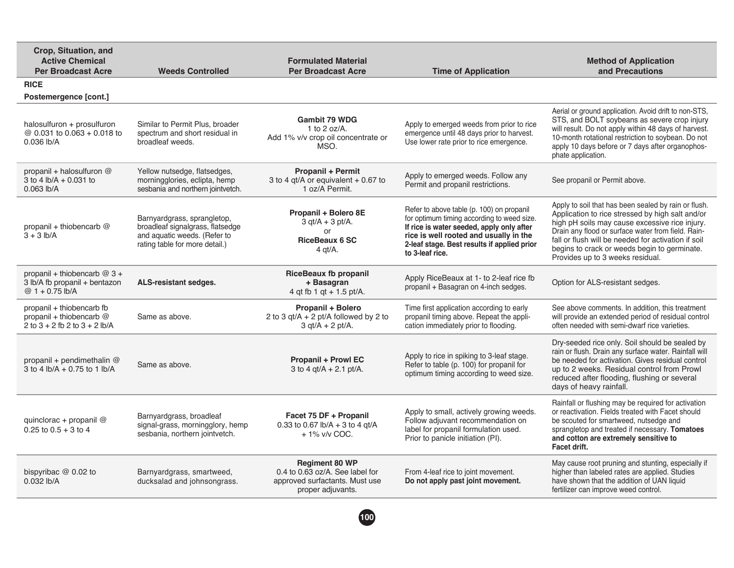| Crop, Situation, and<br><b>Active Chemical</b><br><b>Per Broadcast Acre</b>                      | <b>Weeds Controlled</b>                                                                                                           | <b>Formulated Material</b><br><b>Per Broadcast Acre</b>                                                         | <b>Time of Application</b>                                                                                                                                                                                                                       | <b>Method of Application</b><br>and Precautions                                                                                                                                                                                                                                                                                                             |
|--------------------------------------------------------------------------------------------------|-----------------------------------------------------------------------------------------------------------------------------------|-----------------------------------------------------------------------------------------------------------------|--------------------------------------------------------------------------------------------------------------------------------------------------------------------------------------------------------------------------------------------------|-------------------------------------------------------------------------------------------------------------------------------------------------------------------------------------------------------------------------------------------------------------------------------------------------------------------------------------------------------------|
| <b>RICE</b><br>Postemergence [cont.]                                                             |                                                                                                                                   |                                                                                                                 |                                                                                                                                                                                                                                                  |                                                                                                                                                                                                                                                                                                                                                             |
| halosulfuron + prosulfuron<br>@ 0.031 to 0.063 + 0.018 to<br>0.036 lb/A                          | Similar to Permit Plus, broader<br>spectrum and short residual in<br>broadleaf weeds.                                             | <b>Gambit 79 WDG</b><br>1 to 2 oz/ $A$ .<br>Add 1% v/v crop oil concentrate or<br>MSO.                          | Apply to emerged weeds from prior to rice<br>emergence until 48 days prior to harvest.<br>Use lower rate prior to rice emergence.                                                                                                                | Aerial or ground application. Avoid drift to non-STS,<br>STS, and BOLT soybeans as severe crop injury<br>will result. Do not apply within 48 days of harvest.<br>10-month rotational restriction to soybean. Do not<br>apply 10 days before or 7 days after organophos-<br>phate application.                                                               |
| propanil + halosulfuron $@$<br>3 to 4 $\frac{1}{2}$ b/A + 0.031 to<br>$0.063$ lb/A               | Yellow nutsedge, flatsedges,<br>morningglories, eclipta, hemp<br>sesbania and northern jointvetch.                                | <b>Propanil + Permit</b><br>3 to 4 qt/A or equivalent $+0.67$ to<br>1 oz/A Permit.                              | Apply to emerged weeds. Follow any<br>Permit and propanil restrictions.                                                                                                                                                                          | See propanil or Permit above.                                                                                                                                                                                                                                                                                                                               |
| propanil + thiobencarb @<br>$3 + 3$ lb/A                                                         | Barnyardgrass, sprangletop,<br>broadleaf signalgrass, flatsedge<br>and aquatic weeds. (Refer to<br>rating table for more detail.) | Propanil + Bolero 8E<br>$3$ qt/A + 3 pt/A.<br>or<br><b>RiceBeaux 6 SC</b><br>$4$ qt/A.                          | Refer to above table (p. 100) on propanil<br>for optimum timing according to weed size.<br>If rice is water seeded, apply only after<br>rice is well rooted and usually in the<br>2-leaf stage. Best results if applied prior<br>to 3-leaf rice. | Apply to soil that has been sealed by rain or flush.<br>Application to rice stressed by high salt and/or<br>high pH soils may cause excessive rice injury.<br>Drain any flood or surface water from field. Rain-<br>fall or flush will be needed for activation if soil<br>begins to crack or weeds begin to germinate.<br>Provides up to 3 weeks residual. |
| propanil + thiobencarb $@3 +$<br>3 lb/A fb propanil + bentazon<br>$@1 + 0.75$ lb/A               | ALS-resistant sedges.                                                                                                             | <b>RiceBeaux fb propanil</b><br>+ Basagran<br>4 qt fb 1 qt + 1.5 pt/A.                                          | Apply RiceBeaux at 1- to 2-leaf rice fb<br>propanil + Basagran on 4-inch sedges.                                                                                                                                                                 | Option for ALS-resistant sedges.                                                                                                                                                                                                                                                                                                                            |
| propanil + thiobencarb fb<br>propanil + thiobencarb $@$<br>$2$ to $3 + 2$ fb $2$ to $3 + 2$ lb/A | Same as above.                                                                                                                    | Propanil + Bolero<br>2 to 3 qt/A + 2 pt/A followed by 2 to<br>$3$ qt/A + 2 pt/A.                                | Time first application according to early<br>propanil timing above. Repeat the appli-<br>cation immediately prior to flooding.                                                                                                                   | See above comments. In addition, this treatment<br>will provide an extended period of residual control<br>often needed with semi-dwarf rice varieties.                                                                                                                                                                                                      |
| propanil + pendimethalin @<br>3 to 4 lb/A + 0.75 to 1 lb/A                                       | Same as above.                                                                                                                    | <b>Propanil + Prowl EC</b><br>3 to 4 $qt/A + 2.1$ pt/A.                                                         | Apply to rice in spiking to 3-leaf stage.<br>Refer to table (p. 100) for propanil for<br>optimum timing according to weed size.                                                                                                                  | Dry-seeded rice only. Soil should be sealed by<br>rain or flush. Drain any surface water. Rainfall will<br>be needed for activation. Gives residual control<br>up to 2 weeks. Residual control from Prowl<br>reduced after flooding, flushing or several<br>days of heavy rainfall.                                                                         |
| quinclorac + propanil $@$<br>$0.25$ to $0.5 + 3$ to 4                                            | Barnyardgrass, broadleaf<br>signal-grass, morningglory, hemp<br>sesbania, northern jointvetch.                                    | Facet 75 DF + Propanil<br>0.33 to 0.67 $lb/A + 3$ to 4 gt/A<br>$+1\%$ v/v COC.                                  | Apply to small, actively growing weeds.<br>Follow adjuvant recommendation on<br>label for propanil formulation used.<br>Prior to panicle initiation (PI).                                                                                        | Rainfall or flushing may be required for activation<br>or reactivation. Fields treated with Facet should<br>be scouted for smartweed, nutsedge and<br>sprangletop and treated if necessary. Tomatoes<br>and cotton are extremely sensitive to<br>Facet drift.                                                                                               |
| bispyribac $@$ 0.02 to<br>$0.032$ lb/A                                                           | Barnyardgrass, smartweed,<br>ducksalad and johnsongrass.                                                                          | <b>Regiment 80 WP</b><br>0.4 to 0.63 oz/A. See label for<br>approved surfactants. Must use<br>proper adjuvants. | From 4-leaf rice to joint movement.<br>Do not apply past joint movement.                                                                                                                                                                         | May cause root pruning and stunting, especially if<br>higher than labeled rates are applied. Studies<br>have shown that the addition of UAN liquid<br>fertilizer can improve weed control.                                                                                                                                                                  |

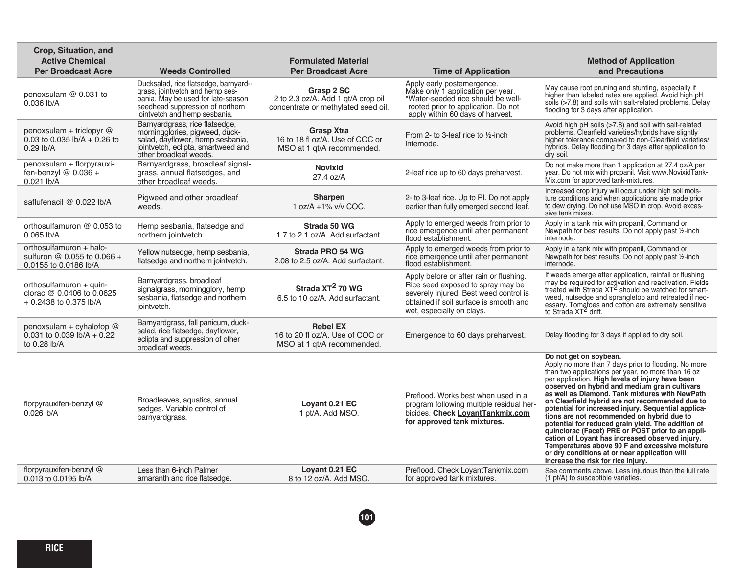| Crop, Situation, and<br><b>Active Chemical</b>                                   |                                                                                                                                                                                     | <b>Formulated Material</b>                                                              |                                                                                                                                                                                               | <b>Method of Application</b>                                                                                                                                                                                                                                                                                                                                                                                                                                                                                                                                                                                                                                                                                                                               |
|----------------------------------------------------------------------------------|-------------------------------------------------------------------------------------------------------------------------------------------------------------------------------------|-----------------------------------------------------------------------------------------|-----------------------------------------------------------------------------------------------------------------------------------------------------------------------------------------------|------------------------------------------------------------------------------------------------------------------------------------------------------------------------------------------------------------------------------------------------------------------------------------------------------------------------------------------------------------------------------------------------------------------------------------------------------------------------------------------------------------------------------------------------------------------------------------------------------------------------------------------------------------------------------------------------------------------------------------------------------------|
| <b>Per Broadcast Acre</b>                                                        | <b>Weeds Controlled</b>                                                                                                                                                             | <b>Per Broadcast Acre</b>                                                               | <b>Time of Application</b>                                                                                                                                                                    | and Precautions                                                                                                                                                                                                                                                                                                                                                                                                                                                                                                                                                                                                                                                                                                                                            |
| penoxsulam @ 0.031 to<br>0.036 lb/A                                              | Ducksalad, rice flatsedge, barnyard--<br>grass, jointvetch and hemp ses-<br>bania. May be used for late-season<br>seedhead suppression of northern<br>jointvetch and hemp sesbania. | Grasp 2 SC<br>2 to 2.3 oz/A. Add 1 gt/A crop oil<br>concentrate or methylated seed oil. | Apply early postemergence.<br>Make only 1 application per year.<br>*Water-seeded rice should be well-<br>rooted prior to application. Do not<br>apply within 60 days of harvest.              | May cause root pruning and stunting, especially if<br>higher than labeled rates are applied. Avoid high pH<br>soils (>7.8) and soils with salt-related problems. Delay<br>flooding for 3 days after application.                                                                                                                                                                                                                                                                                                                                                                                                                                                                                                                                           |
| penoxsulam + triclopyr $@$<br>0.03 to 0.035 lb/A + 0.26 to<br>$0.29$ lb/A        | Barnyardgrass, rice flatsedge,<br>morningglories, pigweed, duck-<br>salad, dayflower, hemp sesbania,<br>jointvetch, eclipta, smartweed and<br>other broadleaf weeds.                | <b>Grasp Xtra</b><br>16 to 18 fl oz/A. Use of COC or<br>MSO at 1 qt/A recommended.      | From 2- to 3-leaf rice to $1/2$ -inch<br>internode.                                                                                                                                           | Avoid high pH soils (>7.8) and soil with salt-related<br>problems. Clearfield varieties/hybrids have slightly<br>higher tolerance compared to non-Clearfield varieties/<br>hybrids. Delay flooding for 3 days after application to<br>dry soil.                                                                                                                                                                                                                                                                                                                                                                                                                                                                                                            |
| penoxsulam + florpyrauxi-<br>fen-benzyl $@0.036 +$<br>$0.021$ lb/A               | Barnyardgrass, broadleaf signal-<br>grass, annual flatsedges, and<br>other broadleaf weeds.                                                                                         | <b>Novixid</b><br>$27.4$ oz/A                                                           | 2-leaf rice up to 60 days preharvest.                                                                                                                                                         | Do not make more than 1 application at 27.4 oz/A per<br>year. Do not mix with propanil. Visit www.NovixidTank-<br>Mix.com for approved tank-mixtures.                                                                                                                                                                                                                                                                                                                                                                                                                                                                                                                                                                                                      |
| saflufenacil @ 0.022 lb/A                                                        | Pigweed and other broadleaf<br>weeds.                                                                                                                                               | <b>Sharpen</b><br>$1 oz/A + 1% v/v COC$ .                                               | 2- to 3-leaf rice. Up to PI. Do not apply<br>earlier than fully emerged second leaf.                                                                                                          | Increased crop injury will occur under high soil mois-<br>ture conditions and when applications are made prior<br>to dew drying. Do not use MSO in crop. Avoid exces-<br>sive tank mixes.                                                                                                                                                                                                                                                                                                                                                                                                                                                                                                                                                                  |
| orthosulfamuron @ 0.053 to<br>$0.065$ lb/A                                       | Hemp sesbania, flatsedge and<br>northern jointvetch.                                                                                                                                | Strada 50 WG<br>1.7 to 2.1 oz/A. Add surfactant.                                        | Apply to emerged weeds from prior to<br>rice emergence until after permanent<br>flood establishment.                                                                                          | Apply in a tank mix with propanil, Command or<br>Newpath for best results. Do not apply past 1/2-inch<br>internode.                                                                                                                                                                                                                                                                                                                                                                                                                                                                                                                                                                                                                                        |
| orthosulfamuron + halo-<br>sulfuron @ 0.055 to 0.066 +<br>0.0155 to 0.0186 lb/A  | Yellow nutsedge, hemp sesbania,<br>flatsedge and northern jointvetch.                                                                                                               | Strada PRO 54 WG<br>2.08 to 2.5 oz/A. Add surfactant.                                   | Apply to emerged weeds from prior to<br>rice emergence until after permanent<br>flood establishment.                                                                                          | Apply in a tank mix with propanil, Command or<br>Newpath for best results. Do not apply past 1/2-inch<br>internode.                                                                                                                                                                                                                                                                                                                                                                                                                                                                                                                                                                                                                                        |
| orthosulfamuron + quin-<br>clorac $@0.0406$ to $0.0625$<br>+0.2438 to 0.375 lb/A | Barnyardgrass, broadleaf<br>signalgrass, morningglory, hemp<br>sesbania, flatsedge and northern<br>jointvetch.                                                                      | Strada XT <sup>2</sup> 70 WG<br>6.5 to 10 oz/A. Add surfactant.                         | Apply before or after rain or flushing.<br>Rice seed exposed to spray may be<br>severely injured. Best weed control is<br>obtained if soil surface is smooth and<br>wet, especially on clays. | If weeds emerge after application, rainfall or flushing<br>may be required for activation and reactivation. Fields<br>treated with Strada XT <sup>2</sup> should be watched for smart-<br>weed, nutsedge and sprangletop and retreated if nec-<br>essary. Tomatoes and cotton are extremely sensitive<br>to Strada XT <sup>2</sup> drift.                                                                                                                                                                                                                                                                                                                                                                                                                  |
| penoxsulam + cyhalofop @<br>0.031 to 0.039 lb/A + 0.22<br>to 0.28 lb/A           | Barnyardgrass, fall panicum, duck-<br>salad, rice flatsedge, dayflower,<br>eclipta and suppression of other<br>broadleaf weeds.                                                     | <b>Rebel EX</b><br>16 to 20 fl oz/A. Use of COC or<br>MSO at 1 qt/A recommended.        | Emergence to 60 days preharvest.                                                                                                                                                              | Delay flooding for 3 days if applied to dry soil.                                                                                                                                                                                                                                                                                                                                                                                                                                                                                                                                                                                                                                                                                                          |
| florpyrauxifen-benzyl @<br>0.026 lb/A                                            | Broadleaves, aquatics, annual<br>sedges. Variable control of<br>barnyardgrass.                                                                                                      | Loyant 0.21 EC<br>1 pt/A. Add MSO.                                                      | Preflood. Works best when used in a<br>program following multiple residual her-<br>bicides. Check LoyantTankmix.com<br>for approved tank mixtures.                                            | Do not get on soybean.<br>Apply no more than 7 days prior to flooding. No more<br>than two applications per year, no more than 16 oz<br>per application. High levels of injury have been<br>observed on hybrid and medium grain cultivars<br>as well as Diamond. Tank mixtures with NewPath<br>on Clearfield hybrid are not recommended due to<br>potential for increased injury. Sequential applica-<br>tions are not recommended on hybrid due to<br>potential for reduced grain yield. The addition of<br>quinclorac (Facet) PRE or POST prior to an appli-<br>cation of Loyant has increased observed injury.<br>Temperatures above 90 F and excessive moisture<br>or dry conditions at or near application will<br>increase the risk for rice injury. |
| florpyrauxifen-benzyl @<br>0.013 to 0.0195 lb/A                                  | Less than 6-inch Palmer<br>amaranth and rice flatsedge.                                                                                                                             | Lovant 0.21 EC<br>8 to 12 oz/A. Add MSO.                                                | Preflood. Check LoyantTankmix.com<br>for approved tank mixtures.                                                                                                                              | See comments above. Less injurious than the full rate<br>(1 pt/A) to susceptible varieties.                                                                                                                                                                                                                                                                                                                                                                                                                                                                                                                                                                                                                                                                |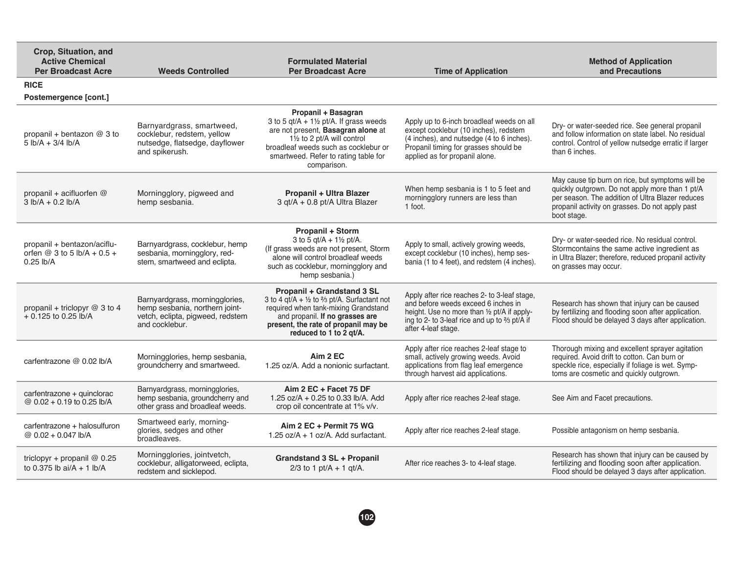| Crop, Situation, and<br><b>Active Chemical</b><br><b>Per Broadcast Acre</b> | <b>Weeds Controlled</b>                                                                                                | <b>Formulated Material</b><br><b>Per Broadcast Acre</b>                                                                                                                                                                                      | <b>Time of Application</b>                                                                                                                                                                                 | <b>Method of Application</b><br>and Precautions                                                                                                                                                                           |
|-----------------------------------------------------------------------------|------------------------------------------------------------------------------------------------------------------------|----------------------------------------------------------------------------------------------------------------------------------------------------------------------------------------------------------------------------------------------|------------------------------------------------------------------------------------------------------------------------------------------------------------------------------------------------------------|---------------------------------------------------------------------------------------------------------------------------------------------------------------------------------------------------------------------------|
| <b>RICE</b><br>Postemergence [cont.]                                        |                                                                                                                        |                                                                                                                                                                                                                                              |                                                                                                                                                                                                            |                                                                                                                                                                                                                           |
| propanil + bentazon $@$ 3 to<br>$5$ lb/A + 3/4 lb/A                         | Barnyardgrass, smartweed,<br>cocklebur, redstem, yellow<br>nutsedge, flatsedge, dayflower<br>and spikerush.            | Propanil + Basagran<br>3 to 5 qt/A + $1\frac{1}{2}$ pt/A. If grass weeds<br>are not present, Basagran alone at<br>11/2 to 2 pt/A will control<br>broadleaf weeds such as cocklebur or<br>smartweed. Refer to rating table for<br>comparison. | Apply up to 6-inch broadleaf weeds on all<br>except cocklebur (10 inches), redstem<br>(4 inches), and nutsedge (4 to 6 inches).<br>Propanil timing for grasses should be<br>applied as for propanil alone. | Dry- or water-seeded rice. See general propanil<br>and follow information on state label. No residual<br>control. Control of yellow nutsedge erratic if larger<br>than 6 inches.                                          |
| propanil + acifluorfen @<br>$3$ lb/A + 0.2 lb/A                             | Morningglory, pigweed and<br>hemp sesbania.                                                                            | Propanil + Ultra Blazer<br>3 qt/A + 0.8 pt/A Ultra Blazer                                                                                                                                                                                    | When hemp sesbania is 1 to 5 feet and<br>morningglory runners are less than<br>1 foot.                                                                                                                     | May cause tip burn on rice, but symptoms will be<br>quickly outgrown. Do not apply more than 1 pt/A<br>per season. The addition of Ultra Blazer reduces<br>propanil activity on grasses. Do not apply past<br>boot stage. |
| propanil + bentazon/aciflu-<br>orfen @ 3 to 5 lb/A + 0.5 +<br>$0.25$ lb/A   | Barnyardgrass, cocklebur, hemp<br>sesbania, morningglory, red-<br>stem, smartweed and eclipta.                         | Propanil + Storm<br>3 to 5 qt/A + $1\frac{1}{2}$ pt/A.<br>(If grass weeds are not present, Storm<br>alone will control broadleaf weeds<br>such as cocklebur, morningglory and<br>hemp sesbania.)                                             | Apply to small, actively growing weeds,<br>except cocklebur (10 inches), hemp ses-<br>bania (1 to 4 feet), and redstem (4 inches).                                                                         | Dry- or water-seeded rice. No residual control.<br>Stormcontains the same active ingredient as<br>in Ultra Blazer; therefore, reduced propanil activity<br>on grasses may occur.                                          |
| propanil + triclopyr $@$ 3 to 4<br>$+0.125$ to 0.25 lb/A                    | Barnyardgrass, morningglories,<br>hemp sesbania, northern joint-<br>vetch, eclipta, pigweed, redstem<br>and cocklebur. | Propanil + Grandstand 3 SL<br>3 to 4 $qt/A + \frac{1}{2}$ to % pt/A. Surfactant not<br>required when tank-mixing Grandstand<br>and propanil. If no grasses are<br>present, the rate of propanil may be<br>reduced to 1 to 2 gt/A.            | Apply after rice reaches 2- to 3-leaf stage.<br>and before weeds exceed 6 inches in<br>height. Use no more than 1/2 pt/A if apply-<br>ing to 2- to 3-leaf rice and up to % pt/A if<br>after 4-leaf stage.  | Research has shown that injury can be caused<br>by fertilizing and flooding soon after application.<br>Flood should be delayed 3 days after application.                                                                  |
| carfentrazone @ 0.02 lb/A                                                   | Morningglories, hemp sesbania,<br>groundcherry and smartweed.                                                          | Aim 2 EC<br>1.25 oz/A. Add a nonionic surfactant.                                                                                                                                                                                            | Apply after rice reaches 2-leaf stage to<br>small, actively growing weeds. Avoid<br>applications from flag leaf emergence<br>through harvest aid applications.                                             | Thorough mixing and excellent sprayer agitation<br>required. Avoid drift to cotton. Can burn or<br>speckle rice, especially if foliage is wet. Symp-<br>toms are cosmetic and quickly outgrown.                           |
| carfentrazone + quinclorac<br>@ 0.02 + 0.19 to 0.25 lb/A                    | Barnyardgrass, morningglories,<br>hemp sesbania, groundcherry and<br>other grass and broadleaf weeds.                  | Aim $2$ EC + Facet 75 DF<br>1.25 $oz/A + 0.25$ to 0.33 lb/A. Add<br>crop oil concentrate at 1% v/v.                                                                                                                                          | Apply after rice reaches 2-leaf stage.                                                                                                                                                                     | See Aim and Facet precautions.                                                                                                                                                                                            |
| carfentrazone + halosulfuron<br>@ $0.02 + 0.047$ lb/A                       | Smartweed early, morning-<br>glories, sedges and other<br>broadleaves.                                                 | Aim 2 EC + Permit 75 WG<br>1.25 $oz/A + 1 oz/A$ . Add surfactant.                                                                                                                                                                            | Apply after rice reaches 2-leaf stage.                                                                                                                                                                     | Possible antagonism on hemp sesbania.                                                                                                                                                                                     |
| triclopyr + propanil $@$ 0.25<br>to 0.375 lb ai/A + 1 lb/A                  | Morningglories, jointvetch,<br>cocklebur, alligatorweed, eclipta,<br>redstem and sicklepod.                            | Grandstand 3 SL + Propanil<br>2/3 to 1 pt/A + 1 qt/A.                                                                                                                                                                                        | After rice reaches 3- to 4-leaf stage.                                                                                                                                                                     | Research has shown that injury can be caused by<br>fertilizing and flooding soon after application.<br>Flood should be delayed 3 days after application.                                                                  |
|                                                                             |                                                                                                                        |                                                                                                                                                                                                                                              |                                                                                                                                                                                                            |                                                                                                                                                                                                                           |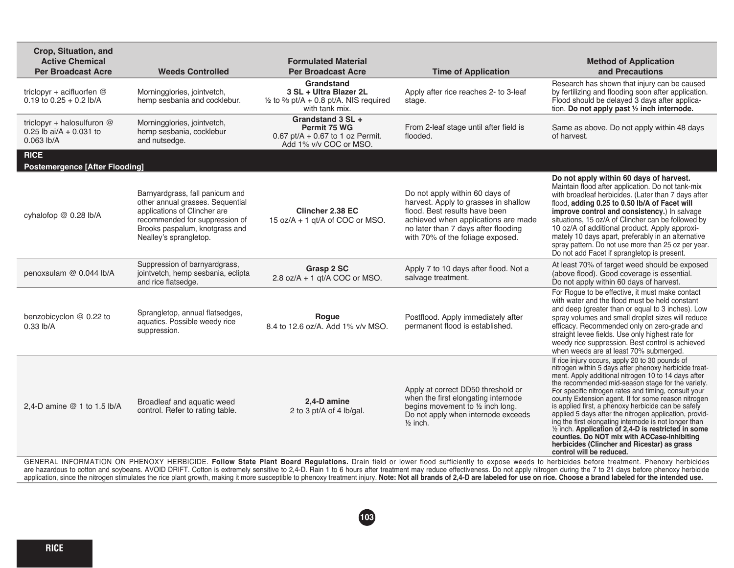| Crop, Situation, and<br><b>Active Chemical</b>                           |                                                                                                                                                                                                   | <b>Formulated Material</b>                                                                                 |                                                                                                                                                                                                                           | <b>Method of Application</b>                                                                                                                                                                                                                                                                                                                                                                                                                                                                                                                                                                                                                                                                              |
|--------------------------------------------------------------------------|---------------------------------------------------------------------------------------------------------------------------------------------------------------------------------------------------|------------------------------------------------------------------------------------------------------------|---------------------------------------------------------------------------------------------------------------------------------------------------------------------------------------------------------------------------|-----------------------------------------------------------------------------------------------------------------------------------------------------------------------------------------------------------------------------------------------------------------------------------------------------------------------------------------------------------------------------------------------------------------------------------------------------------------------------------------------------------------------------------------------------------------------------------------------------------------------------------------------------------------------------------------------------------|
| <b>Per Broadcast Acre</b>                                                | <b>Weeds Controlled</b>                                                                                                                                                                           | <b>Per Broadcast Acre</b>                                                                                  | <b>Time of Application</b>                                                                                                                                                                                                | and Precautions                                                                                                                                                                                                                                                                                                                                                                                                                                                                                                                                                                                                                                                                                           |
| triclopyr + acifluorfen $@$<br>0.19 to $0.25 + 0.2$ lb/A                 | Morningglories, jointvetch,<br>hemp sesbania and cocklebur.                                                                                                                                       | Grandstand<br>3 SL + Ultra Blazer 2L<br>$\frac{1}{2}$ to % pt/A + 0.8 pt/A. NIS required<br>with tank mix. | Apply after rice reaches 2- to 3-leaf<br>stage.                                                                                                                                                                           | Research has shown that injury can be caused<br>by fertilizing and flooding soon after application.<br>Flood should be delayed 3 days after applica-<br>tion. Do not apply past 1/2 inch internode.                                                                                                                                                                                                                                                                                                                                                                                                                                                                                                       |
| triclopyr + halosulfuron @<br>0.25 lb ai/ $A + 0.031$ to<br>$0.063$ lb/A | Morningglories, jointvetch,<br>hemp sesbania, cocklebur<br>and nutsedge.                                                                                                                          | Grandstand 3 SL +<br>Permit 75 WG<br>0.67 pt/A + 0.67 to 1 oz Permit.<br>Add 1% v/v COC or MSO.            | From 2-leaf stage until after field is<br>flooded.                                                                                                                                                                        | Same as above. Do not apply within 48 days<br>of harvest.                                                                                                                                                                                                                                                                                                                                                                                                                                                                                                                                                                                                                                                 |
| <b>RICE</b><br><b>Postemergence [After Flooding]</b>                     |                                                                                                                                                                                                   |                                                                                                            |                                                                                                                                                                                                                           |                                                                                                                                                                                                                                                                                                                                                                                                                                                                                                                                                                                                                                                                                                           |
| cyhalofop @ 0.28 lb/A                                                    | Barnyardgrass, fall panicum and<br>other annual grasses. Sequential<br>applications of Clincher are<br>recommended for suppression of<br>Brooks paspalum, knotgrass and<br>Nealley's sprangletop. | <b>Clincher 2.38 EC</b><br>15 oz/A + 1 qt/A of COC or MSO.                                                 | Do not apply within 60 days of<br>harvest. Apply to grasses in shallow<br>flood. Best results have been<br>achieved when applications are made<br>no later than 7 days after flooding<br>with 70% of the foliage exposed. | Do not apply within 60 days of harvest.<br>Maintain flood after application. Do not tank-mix<br>with broadleaf herbicides. (Later than 7 days after<br>flood, adding 0.25 to 0.50 lb/A of Facet will<br>improve control and consistency.) In salvage<br>situations, 15 oz/A of Clincher can be followed by<br>10 oz/A of additional product. Apply approxi-<br>mately 10 days apart, preferably in an alternative<br>spray pattern. Do not use more than 25 oz per year.<br>Do not add Facet if sprangletop is present.                                                                                                                                                                                   |
| penoxsulam @ 0.044 lb/A                                                  | Suppression of barnyardgrass,<br>jointvetch, hemp sesbania, eclipta<br>and rice flatsedge.                                                                                                        | Grasp 2 SC<br>2.8 oz/A + 1 qt/A COC or MSO.                                                                | Apply 7 to 10 days after flood. Not a<br>salvage treatment.                                                                                                                                                               | At least 70% of target weed should be exposed<br>(above flood). Good coverage is essential.<br>Do not apply within 60 days of harvest.                                                                                                                                                                                                                                                                                                                                                                                                                                                                                                                                                                    |
| benzobicyclon @ 0.22 to<br>0.33 lb/A                                     | Sprangletop, annual flatsedges,<br>aquatics. Possible weedy rice<br>suppression.                                                                                                                  | Roque<br>8.4 to 12.6 oz/A. Add 1% v/v MSO.                                                                 | Postflood. Apply immediately after<br>permanent flood is established.                                                                                                                                                     | For Rogue to be effective, it must make contact<br>with water and the flood must be held constant<br>and deep (greater than or equal to 3 inches). Low<br>spray volumes and small droplet sizes will reduce<br>efficacy. Recommended only on zero-grade and<br>straight levee fields. Use only highest rate for<br>weedy rice suppression. Best control is achieved<br>when weeds are at least 70% submerged.                                                                                                                                                                                                                                                                                             |
| 2,4-D amine @ 1 to 1.5 lb/A                                              | Broadleaf and aquatic weed<br>control. Refer to rating table.                                                                                                                                     | 2.4-D amine<br>2 to 3 pt/A of 4 lb/gal.                                                                    | Apply at correct DD50 threshold or<br>when the first elongating internode<br>begins movement to 1/2 inch long.<br>Do not apply when internode exceeds<br>$\frac{1}{2}$ inch.                                              | If rice injury occurs, apply 20 to 30 pounds of<br>nitrogen within 5 days after phenoxy herbicide treat-<br>ment. Apply additional nitrogen 10 to 14 days after<br>the recommended mid-season stage for the variety.<br>For specific nitrogen rates and timing, consult your<br>county Extension agent. If for some reason nitrogen<br>is applied first, a phenoxy herbicide can be safely<br>applied 5 days after the nitrogen application, provid-<br>ing the first elongating internode is not longer than<br>$\frac{1}{2}$ inch. Application of 2,4-D is restricted in some<br>counties. Do NOT mix with ACCase-inhibiting<br>herbicides (Clincher and Ricestar) as grass<br>control will be reduced. |

GENERAL INFORMATION ON PHENOXY HERBICIDE. **Follow State Plant Board Regulations.** Drain field or lower flood sufficiently to expose weeds to herbicides before treatment. Phenoxy herbicides are hazardous to cotton and soybeans. AVOID DRIFT. Cotton is extremely sensitive to 2,4-D. Rain 1 to 6 hours after treatment may reduce effectiveness. Do not apply nitrogen during the 7 to 21 days before phenoxy herbicide application, since the nitrogen stimulates the rice plant growth, making it more susceptible to phenoxy treatment injury. Note: Not all brands of 2,4-D are labeled for use on rice. Choose a brand labeled for the intended u

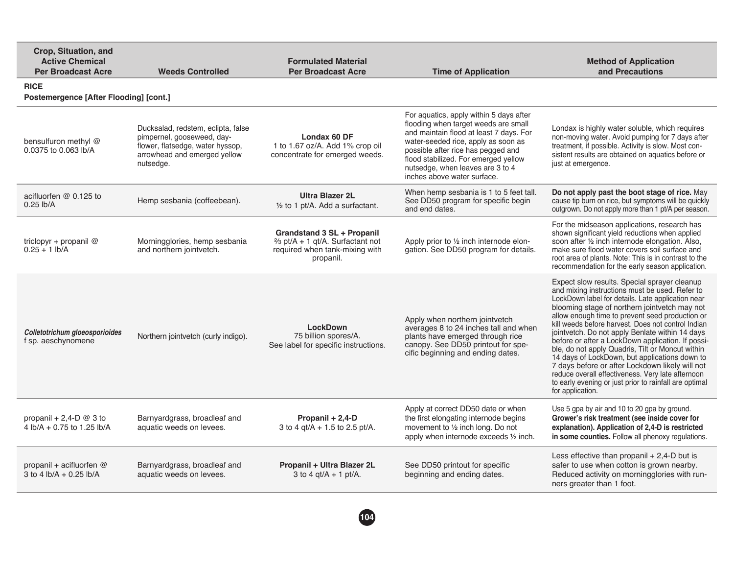| Crop, Situation, and<br><b>Active Chemical</b><br><b>Per Broadcast Acre</b>   | <b>Weeds Controlled</b>                                                                                                                           | <b>Formulated Material</b><br><b>Per Broadcast Acre</b>                                                             | <b>Time of Application</b>                                                                                                                                                                                                                                                                                         | <b>Method of Application</b><br>and Precautions                                                                                                                                                                                                                                                                                                                                                                                                                                                                                                                                                                                                                                                                  |
|-------------------------------------------------------------------------------|---------------------------------------------------------------------------------------------------------------------------------------------------|---------------------------------------------------------------------------------------------------------------------|--------------------------------------------------------------------------------------------------------------------------------------------------------------------------------------------------------------------------------------------------------------------------------------------------------------------|------------------------------------------------------------------------------------------------------------------------------------------------------------------------------------------------------------------------------------------------------------------------------------------------------------------------------------------------------------------------------------------------------------------------------------------------------------------------------------------------------------------------------------------------------------------------------------------------------------------------------------------------------------------------------------------------------------------|
| <b>RICE</b><br>Postemergence [After Flooding] [cont.]                         |                                                                                                                                                   |                                                                                                                     |                                                                                                                                                                                                                                                                                                                    |                                                                                                                                                                                                                                                                                                                                                                                                                                                                                                                                                                                                                                                                                                                  |
| bensulfuron methyl @<br>0.0375 to 0.063 lb/A                                  | Ducksalad, redstem, eclipta, false<br>pimpernel, gooseweed, day-<br>flower, flatsedge, water hyssop,<br>arrowhead and emerged yellow<br>nutsedge. | Londax 60 DF<br>1 to 1.67 oz/A. Add 1% crop oil<br>concentrate for emerged weeds.                                   | For aquatics, apply within 5 days after<br>flooding when target weeds are small<br>and maintain flood at least 7 days. For<br>water-seeded rice, apply as soon as<br>possible after rice has pegged and<br>flood stabilized. For emerged yellow<br>nutsedge, when leaves are 3 to 4<br>inches above water surface. | Londax is highly water soluble, which requires<br>non-moving water. Avoid pumping for 7 days after<br>treatment, if possible. Activity is slow. Most con-<br>sistent results are obtained on aquatics before or<br>just at emergence.                                                                                                                                                                                                                                                                                                                                                                                                                                                                            |
| acifluorfen @ 0.125 to<br>$0.25$ lb/A                                         | Hemp sesbania (coffeebean).                                                                                                                       | <b>Ultra Blazer 2L</b><br>1/2 to 1 pt/A. Add a surfactant.                                                          | When hemp sesbania is 1 to 5 feet tall.<br>See DD50 program for specific begin<br>and end dates.                                                                                                                                                                                                                   | Do not apply past the boot stage of rice. May<br>cause tip burn on rice, but symptoms will be quickly<br>outgrown. Do not apply more than 1 pt/A per season.                                                                                                                                                                                                                                                                                                                                                                                                                                                                                                                                                     |
| triclopyr + propanil $@$<br>$0.25 + 1$ lb/A                                   | Morningglories, hemp sesbania<br>and northern jointvetch.                                                                                         | <b>Grandstand 3 SL + Propanil</b><br>% pt/A + 1 qt/A. Surfactant not<br>required when tank-mixing with<br>propanil. | Apply prior to 1/2 inch internode elon-<br>gation. See DD50 program for details.                                                                                                                                                                                                                                   | For the midseason applications, research has<br>shown significant yield reductions when applied<br>soon after 1/2 inch internode elongation. Also,<br>make sure flood water covers soil surface and<br>root area of plants. Note: This is in contrast to the<br>recommendation for the early season application.                                                                                                                                                                                                                                                                                                                                                                                                 |
| Colletotrichum gloeosporioides<br>f sp. aeschynomene                          | Northern jointvetch (curly indigo).                                                                                                               | <b>LockDown</b><br>75 billion spores/A.<br>See label for specific instructions.                                     | Apply when northern jointvetch<br>averages 8 to 24 inches tall and when<br>plants have emerged through rice<br>canopy. See DD50 printout for spe-<br>cific beginning and ending dates.                                                                                                                             | Expect slow results. Special sprayer cleanup<br>and mixing instructions must be used. Refer to<br>LockDown label for details. Late application near<br>blooming stage of northern jointvetch may not<br>allow enough time to prevent seed production or<br>kill weeds before harvest. Does not control Indian<br>jointvetch. Do not apply Benlate within 14 days<br>before or after a LockDown application. If possi-<br>ble, do not apply Quadris, Tilt or Moncut within<br>14 days of LockDown, but applications down to<br>7 days before or after Lockdown likely will not<br>reduce overall effectiveness. Very late afternoon<br>to early evening or just prior to rainfall are optimal<br>for application. |
| propanil + 2,4-D $@$ 3 to<br>4 lb/A + 0.75 to 1.25 lb/A                       | Barnyardgrass, broadleaf and<br>aquatic weeds on levees.                                                                                          | Propanil + 2,4-D<br>3 to 4 gt/A + 1.5 to 2.5 pt/A.                                                                  | Apply at correct DD50 date or when<br>the first elongating internode begins<br>movement to 1/2 inch long. Do not<br>apply when internode exceeds 1/2 inch.                                                                                                                                                         | Use 5 gpa by air and 10 to 20 gpa by ground.<br>Grower's risk treatment (see inside cover for<br>explanation). Application of 2,4-D is restricted<br>in some counties. Follow all phenoxy regulations.                                                                                                                                                                                                                                                                                                                                                                                                                                                                                                           |
| propanil + acifluorfen @<br>3 to 4 $\frac{1}{2}$ b/A + 0.25 $\frac{1}{2}$ b/A | Barnyardgrass, broadleaf and<br>aquatic weeds on levees.                                                                                          | Propanil + Ultra Blazer 2L<br>3 to 4 gt/A $+$ 1 pt/A.                                                               | See DD50 printout for specific<br>beginning and ending dates.                                                                                                                                                                                                                                                      | Less effective than propanil $+ 2,4$ -D but is<br>safer to use when cotton is grown nearby.<br>Reduced activity on morningglories with run-<br>ners greater than 1 foot.                                                                                                                                                                                                                                                                                                                                                                                                                                                                                                                                         |

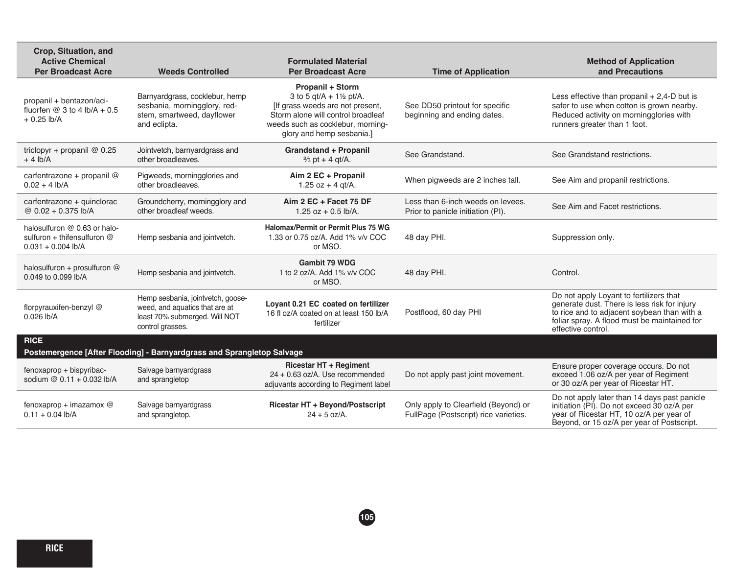| Crop, Situation, and<br><b>Active Chemical</b><br><b>Per Broadcast Acre</b>           | <b>Weeds Controlled</b>                                                                                                  | <b>Formulated Material</b><br><b>Per Broadcast Acre</b>                                                                                                                                            | <b>Method of Application</b><br>and Precautions                               |                                                                                                                                                                                                              |  |  |
|---------------------------------------------------------------------------------------|--------------------------------------------------------------------------------------------------------------------------|----------------------------------------------------------------------------------------------------------------------------------------------------------------------------------------------------|-------------------------------------------------------------------------------|--------------------------------------------------------------------------------------------------------------------------------------------------------------------------------------------------------------|--|--|
| propanil + bentazon/aci-<br>fluorfen @ $3$ to 4 lb/A + 0.5<br>$+0.25$ lb/A            | Barnyardgrass, cocklebur, hemp<br>sesbania, morningglory, red-<br>stem, smartweed, dayflower<br>and eclipta.             | Propanil + Storm<br>3 to 5 qt/A + $1\frac{1}{2}$ pt/A.<br>[If grass weeds are not present,<br>Storm alone will control broadleaf<br>weeds such as cocklebur, morning-<br>glory and hemp sesbania.] | See DD50 printout for specific<br>beginning and ending dates.                 | Less effective than propanil $+ 2,4$ -D but is<br>safer to use when cotton is grown nearby.<br>Reduced activity on morningglories with<br>runners greater than 1 foot.                                       |  |  |
| triclopyr + propanil $@0.25$<br>$+4$ lb/A                                             | Jointvetch, barnyardgrass and<br>other broadleaves.                                                                      | <b>Grandstand + Propanil</b><br>$\frac{2}{3}$ pt + 4 gt/A.                                                                                                                                         | See Grandstand.                                                               | See Grandstand restrictions.                                                                                                                                                                                 |  |  |
| carfentrazone + propanil $@$<br>$0.02 + 4$ lb/A                                       | Pigweeds, morningglories and<br>other broadleaves.                                                                       | Aim 2 EC + Propanil<br>$1.25$ oz + 4 gt/A.                                                                                                                                                         | When pigweeds are 2 inches tall.                                              | See Aim and propanil restrictions.                                                                                                                                                                           |  |  |
| carfentrazone + quinclorac<br>@ 0.02 + 0.375 lb/A                                     | Groundcherry, morningglory and<br>other broadleaf weeds.                                                                 | Aim 2 EC + Facet 75 DF<br>1.25 oz $+$ 0.5 lb/A.                                                                                                                                                    | Less than 6-inch weeds on levees.<br>Prior to panicle initiation (PI).        | See Aim and Facet restrictions.                                                                                                                                                                              |  |  |
| halosulfuron @ 0.63 or halo-<br>sulfuron + thifensulfuron $@$<br>$0.031 + 0.004$ lb/A | Hemp sesbania and jointvetch.                                                                                            | Halomax/Permit or Permit Plus 75 WG<br>1.33 or 0.75 oz/A. Add 1% v/v COC<br>or MSO.                                                                                                                | 48 day PHI.                                                                   | Suppression only.                                                                                                                                                                                            |  |  |
| halosulfuron + prosulfuron @<br>0.049 to 0.099 lb/A                                   | Hemp sesbania and jointvetch.                                                                                            | Gambit 79 WDG<br>1 to 2 oz/A. Add 1% v/v COC<br>or MSO.                                                                                                                                            | 48 day PHI.                                                                   | Control.                                                                                                                                                                                                     |  |  |
| florpyrauxifen-benzyl @<br>0.026 lb/A                                                 | Hemp sesbania, jointvetch, goose-<br>weed, and aquatics that are at<br>least 70% submerged. Will NOT<br>control grasses. | Lovant 0.21 EC coated on fertilizer<br>16 fl oz/A coated on at least 150 lb/A<br>fertilizer                                                                                                        | Postflood, 60 day PHI                                                         | Do not apply Loyant to fertilizers that<br>generate dust. There is less risk for injury<br>to rice and to adjacent soybean than with a<br>foliar spray. A flood must be maintained for<br>effective control. |  |  |
| <b>RICE</b>                                                                           | Postemergence [After Flooding] - Barnyardgrass and Sprangletop Salvage                                                   |                                                                                                                                                                                                    |                                                                               |                                                                                                                                                                                                              |  |  |
| fenoxaprop + bispyribac-<br>sodium @ $0.11 + 0.032$ lb/A                              | Salvage barnyardgrass<br>and sprangletop                                                                                 | <b>Ricestar HT + Regiment</b><br>24 + 0.63 oz/A. Use recommended<br>adjuvants according to Regiment label                                                                                          | Do not apply past joint movement.                                             | Ensure proper coverage occurs. Do not<br>exceed 1.06 oz/A per year of Regiment<br>or 30 oz/A per year of Ricestar HT.                                                                                        |  |  |
| fenoxaprop + imazamox $@$<br>$0.11 + 0.04$ lb/A                                       | Salvage barnyardgrass<br>and sprangletop.                                                                                | Ricestar HT + Beyond/Postscript<br>$24 + 5$ oz/A.                                                                                                                                                  | Only apply to Clearfield (Beyond) or<br>FullPage (Postscript) rice varieties. | Do not apply later than 14 days past panicle<br>initiation (PI). Do not exceed 30 oz/A per<br>year of Ricestar HT, 10 oz/A per year of<br>Beyond, or 15 oz/A per year of Postscript.                         |  |  |